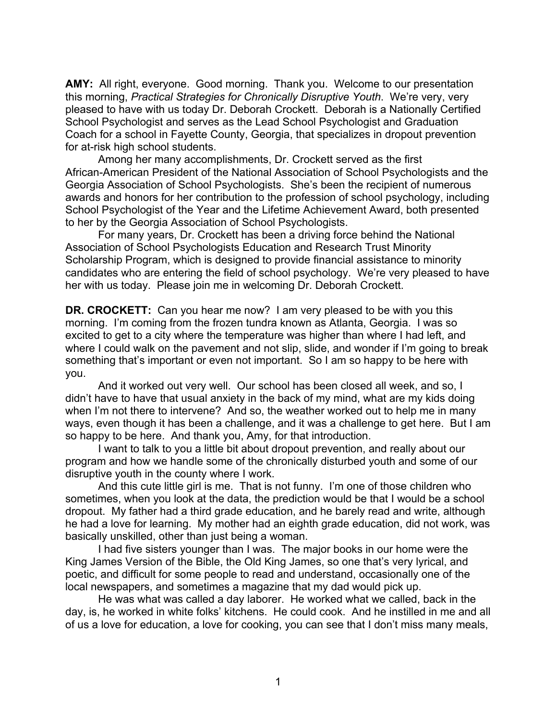**AMY:** All right, everyone. Good morning. Thank you. Welcome to our presentation this morning, *Practical Strategies for Chronically Disruptive Youth*. We're very, very pleased to have with us today Dr. Deborah Crockett. Deborah is a Nationally Certified School Psychologist and serves as the Lead School Psychologist and Graduation Coach for a school in Fayette County, Georgia, that specializes in dropout prevention for at-risk high school students.

Among her many accomplishments, Dr. Crockett served as the first African-American President of the National Association of School Psychologists and the Georgia Association of School Psychologists. She's been the recipient of numerous awards and honors for her contribution to the profession of school psychology, including School Psychologist of the Year and the Lifetime Achievement Award, both presented to her by the Georgia Association of School Psychologists.

For many years, Dr. Crockett has been a driving force behind the National Association of School Psychologists Education and Research Trust Minority Scholarship Program, which is designed to provide financial assistance to minority candidates who are entering the field of school psychology. We're very pleased to have her with us today. Please join me in welcoming Dr. Deborah Crockett.

**DR. CROCKETT:** Can you hear me now? I am very pleased to be with you this morning. I'm coming from the frozen tundra known as Atlanta, Georgia. I was so excited to get to a city where the temperature was higher than where I had left, and where I could walk on the pavement and not slip, slide, and wonder if I'm going to break something that's important or even not important. So I am so happy to be here with you.

And it worked out very well. Our school has been closed all week, and so, I didn't have to have that usual anxiety in the back of my mind, what are my kids doing when I'm not there to intervene? And so, the weather worked out to help me in many ways, even though it has been a challenge, and it was a challenge to get here. But I am so happy to be here. And thank you, Amy, for that introduction.

I want to talk to you a little bit about dropout prevention, and really about our program and how we handle some of the chronically disturbed youth and some of our disruptive youth in the county where I work.

And this cute little girl is me. That is not funny. I'm one of those children who sometimes, when you look at the data, the prediction would be that I would be a school dropout. My father had a third grade education, and he barely read and write, although he had a love for learning. My mother had an eighth grade education, did not work, was basically unskilled, other than just being a woman.

I had five sisters younger than I was. The major books in our home were the King James Version of the Bible, the Old King James, so one that's very lyrical, and poetic, and difficult for some people to read and understand, occasionally one of the local newspapers, and sometimes a magazine that my dad would pick up.

He was what was called a day laborer. He worked what we called, back in the day, is, he worked in white folks' kitchens. He could cook. And he instilled in me and all of us a love for education, a love for cooking, you can see that I don't miss many meals,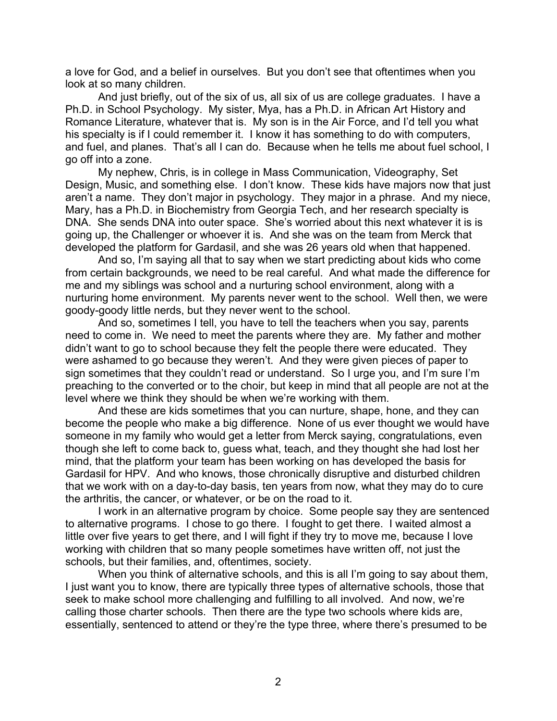a love for God, and a belief in ourselves. But you don't see that oftentimes when you look at so many children.

And just briefly, out of the six of us, all six of us are college graduates. I have a Ph.D. in School Psychology. My sister, Mya, has a Ph.D. in African Art History and Romance Literature, whatever that is. My son is in the Air Force, and I'd tell you what his specialty is if I could remember it. I know it has something to do with computers, and fuel, and planes. That's all I can do. Because when he tells me about fuel school, I go off into a zone.

My nephew, Chris, is in college in Mass Communication, Videography, Set Design, Music, and something else. I don't know. These kids have majors now that just aren't a name. They don't major in psychology. They major in a phrase. And my niece, Mary, has a Ph.D. in Biochemistry from Georgia Tech, and her research specialty is DNA. She sends DNA into outer space. She's worried about this next whatever it is is going up, the Challenger or whoever it is. And she was on the team from Merck that developed the platform for Gardasil, and she was 26 years old when that happened.

And so, I'm saying all that to say when we start predicting about kids who come from certain backgrounds, we need to be real careful. And what made the difference for me and my siblings was school and a nurturing school environment, along with a nurturing home environment. My parents never went to the school. Well then, we were goody-goody little nerds, but they never went to the school.

And so, sometimes I tell, you have to tell the teachers when you say, parents need to come in. We need to meet the parents where they are. My father and mother didn't want to go to school because they felt the people there were educated. They were ashamed to go because they weren't. And they were given pieces of paper to sign sometimes that they couldn't read or understand. So I urge you, and I'm sure I'm preaching to the converted or to the choir, but keep in mind that all people are not at the level where we think they should be when we're working with them.

And these are kids sometimes that you can nurture, shape, hone, and they can become the people who make a big difference. None of us ever thought we would have someone in my family who would get a letter from Merck saying, congratulations, even though she left to come back to, guess what, teach, and they thought she had lost her mind, that the platform your team has been working on has developed the basis for Gardasil for HPV. And who knows, those chronically disruptive and disturbed children that we work with on a day-to-day basis, ten years from now, what they may do to cure the arthritis, the cancer, or whatever, or be on the road to it.

I work in an alternative program by choice. Some people say they are sentenced to alternative programs. I chose to go there. I fought to get there. I waited almost a little over five years to get there, and I will fight if they try to move me, because I love working with children that so many people sometimes have written off, not just the schools, but their families, and, oftentimes, society.

When you think of alternative schools, and this is all I'm going to say about them, I just want you to know, there are typically three types of alternative schools, those that seek to make school more challenging and fulfilling to all involved. And now, we're calling those charter schools. Then there are the type two schools where kids are, essentially, sentenced to attend or they're the type three, where there's presumed to be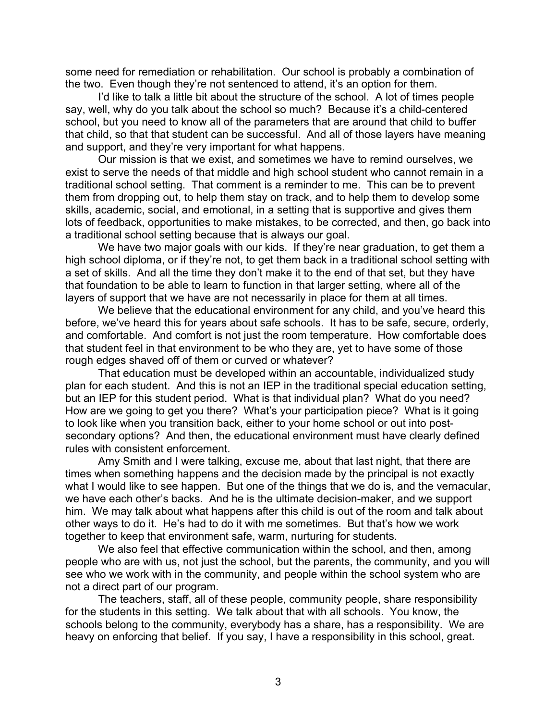some need for remediation or rehabilitation. Our school is probably a combination of the two. Even though they're not sentenced to attend, it's an option for them.

I'd like to talk a little bit about the structure of the school. A lot of times people say, well, why do you talk about the school so much? Because it's a child-centered school, but you need to know all of the parameters that are around that child to buffer that child, so that that student can be successful. And all of those layers have meaning and support, and they're very important for what happens.

Our mission is that we exist, and sometimes we have to remind ourselves, we exist to serve the needs of that middle and high school student who cannot remain in a traditional school setting. That comment is a reminder to me. This can be to prevent them from dropping out, to help them stay on track, and to help them to develop some skills, academic, social, and emotional, in a setting that is supportive and gives them lots of feedback, opportunities to make mistakes, to be corrected, and then, go back into a traditional school setting because that is always our goal.

We have two major goals with our kids. If they're near graduation, to get them a high school diploma, or if they're not, to get them back in a traditional school setting with a set of skills. And all the time they don't make it to the end of that set, but they have that foundation to be able to learn to function in that larger setting, where all of the layers of support that we have are not necessarily in place for them at all times.

We believe that the educational environment for any child, and you've heard this before, we've heard this for years about safe schools. It has to be safe, secure, orderly, and comfortable. And comfort is not just the room temperature. How comfortable does that student feel in that environment to be who they are, yet to have some of those rough edges shaved off of them or curved or whatever?

That education must be developed within an accountable, individualized study plan for each student. And this is not an IEP in the traditional special education setting, but an IEP for this student period. What is that individual plan? What do you need? How are we going to get you there? What's your participation piece? What is it going to look like when you transition back, either to your home school or out into postsecondary options? And then, the educational environment must have clearly defined rules with consistent enforcement.

Amy Smith and I were talking, excuse me, about that last night, that there are times when something happens and the decision made by the principal is not exactly what I would like to see happen. But one of the things that we do is, and the vernacular, we have each other's backs. And he is the ultimate decision-maker, and we support him. We may talk about what happens after this child is out of the room and talk about other ways to do it. He's had to do it with me sometimes. But that's how we work together to keep that environment safe, warm, nurturing for students.

We also feel that effective communication within the school, and then, among people who are with us, not just the school, but the parents, the community, and you will see who we work with in the community, and people within the school system who are not a direct part of our program.

The teachers, staff, all of these people, community people, share responsibility for the students in this setting. We talk about that with all schools. You know, the schools belong to the community, everybody has a share, has a responsibility. We are heavy on enforcing that belief. If you say, I have a responsibility in this school, great.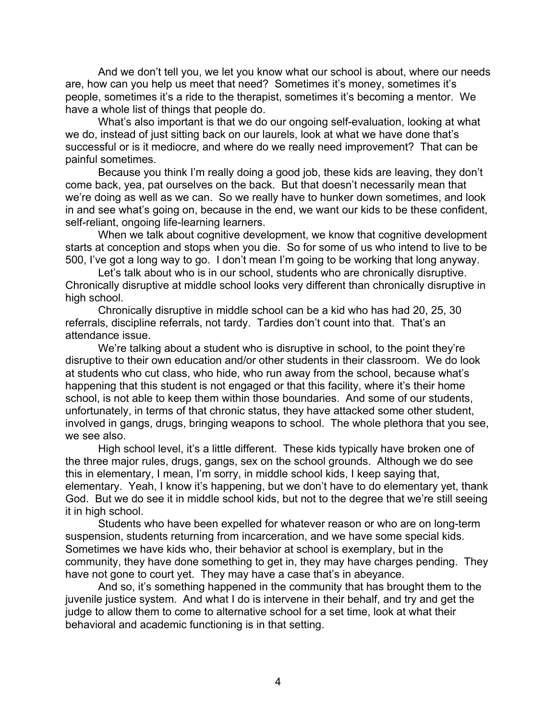And we don't tell you, we let you know what our school is about, where our needs are, how can you help us meet that need? Sometimes it's money, sometimes it's people, sometimes it's a ride to the therapist, sometimes it's becoming a mentor. We have a whole list of things that people do.

What's also important is that we do our ongoing self-evaluation, looking at what we do, instead of just sitting back on our laurels, look at what we have done that's successful or is it mediocre, and where do we really need improvement? That can be painful sometimes.

Because you think I'm really doing a good job, these kids are leaving, they don't come back, yea, pat ourselves on the back. But that doesn't necessarily mean that we're doing as well as we can. So we really have to hunker down sometimes, and look in and see what's going on, because in the end, we want our kids to be these confident, self-reliant, ongoing life-learning learners.

When we talk about cognitive development, we know that cognitive development starts at conception and stops when you die. So for some of us who intend to live to be 500, I've got a long way to go. I don't mean I'm going to be working that long anyway.

Let's talk about who is in our school, students who are chronically disruptive. Chronically disruptive at middle school looks very different than chronically disruptive in high school.

Chronically disruptive in middle school can be a kid who has had 20, 25, 30 referrals, discipline referrals, not tardy. Tardies don't count into that. That's an attendance issue.

We're talking about a student who is disruptive in school, to the point they're disruptive to their own education and/or other students in their classroom. We do look at students who cut class, who hide, who run away from the school, because what's happening that this student is not engaged or that this facility, where it's their home school, is not able to keep them within those boundaries. And some of our students, unfortunately, in terms of that chronic status, they have attacked some other student, involved in gangs, drugs, bringing weapons to school. The whole plethora that you see, we see also.

High school level, it's a little different. These kids typically have broken one of the three major rules, drugs, gangs, sex on the school grounds. Although we do see this in elementary, I mean, I'm sorry, in middle school kids, I keep saying that, elementary. Yeah, I know it's happening, but we don't have to do elementary yet, thank God. But we do see it in middle school kids, but not to the degree that we're still seeing it in high school.

Students who have been expelled for whatever reason or who are on long-term suspension, students returning from incarceration, and we have some special kids. Sometimes we have kids who, their behavior at school is exemplary, but in the community, they have done something to get in, they may have charges pending. They have not gone to court yet. They may have a case that's in abeyance.

And so, it's something happened in the community that has brought them to the juvenile justice system. And what I do is intervene in their behalf, and try and get the judge to allow them to come to alternative school for a set time, look at what their behavioral and academic functioning is in that setting.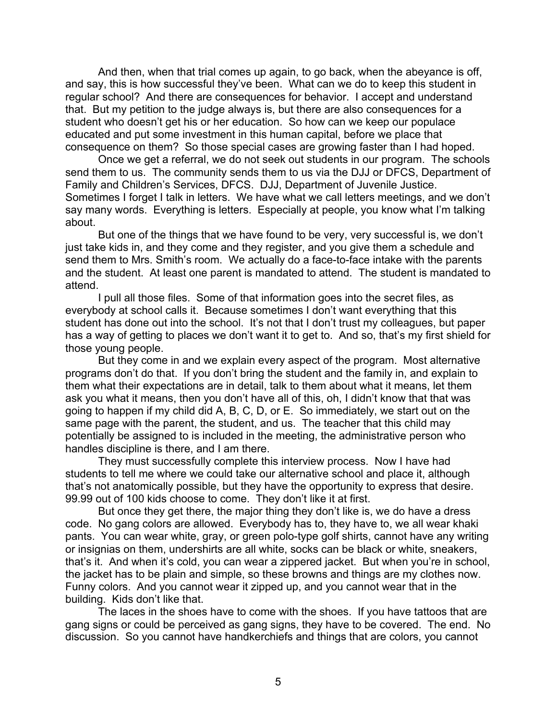And then, when that trial comes up again, to go back, when the abeyance is off, and say, this is how successful they've been. What can we do to keep this student in regular school? And there are consequences for behavior. I accept and understand that. But my petition to the judge always is, but there are also consequences for a student who doesn't get his or her education. So how can we keep our populace educated and put some investment in this human capital, before we place that consequence on them? So those special cases are growing faster than I had hoped.

Once we get a referral, we do not seek out students in our program. The schools send them to us. The community sends them to us via the DJJ or DFCS, Department of Family and Children's Services, DFCS. DJJ, Department of Juvenile Justice. Sometimes I forget I talk in letters. We have what we call letters meetings, and we don't say many words. Everything is letters. Especially at people, you know what I'm talking about.

But one of the things that we have found to be very, very successful is, we don't just take kids in, and they come and they register, and you give them a schedule and send them to Mrs. Smith's room. We actually do a face-to-face intake with the parents and the student. At least one parent is mandated to attend. The student is mandated to attend.

I pull all those files. Some of that information goes into the secret files, as everybody at school calls it. Because sometimes I don't want everything that this student has done out into the school. It's not that I don't trust my colleagues, but paper has a way of getting to places we don't want it to get to. And so, that's my first shield for those young people.

But they come in and we explain every aspect of the program. Most alternative programs don't do that. If you don't bring the student and the family in, and explain to them what their expectations are in detail, talk to them about what it means, let them ask you what it means, then you don't have all of this, oh, I didn't know that that was going to happen if my child did A, B, C, D, or E. So immediately, we start out on the same page with the parent, the student, and us. The teacher that this child may potentially be assigned to is included in the meeting, the administrative person who handles discipline is there, and I am there.

They must successfully complete this interview process. Now I have had students to tell me where we could take our alternative school and place it, although that's not anatomically possible, but they have the opportunity to express that desire. 99.99 out of 100 kids choose to come. They don't like it at first.

But once they get there, the major thing they don't like is, we do have a dress code. No gang colors are allowed. Everybody has to, they have to, we all wear khaki pants. You can wear white, gray, or green polo-type golf shirts, cannot have any writing or insignias on them, undershirts are all white, socks can be black or white, sneakers, that's it. And when it's cold, you can wear a zippered jacket. But when you're in school, the jacket has to be plain and simple, so these browns and things are my clothes now. Funny colors. And you cannot wear it zipped up, and you cannot wear that in the building. Kids don't like that.

The laces in the shoes have to come with the shoes. If you have tattoos that are gang signs or could be perceived as gang signs, they have to be covered. The end. No discussion. So you cannot have handkerchiefs and things that are colors, you cannot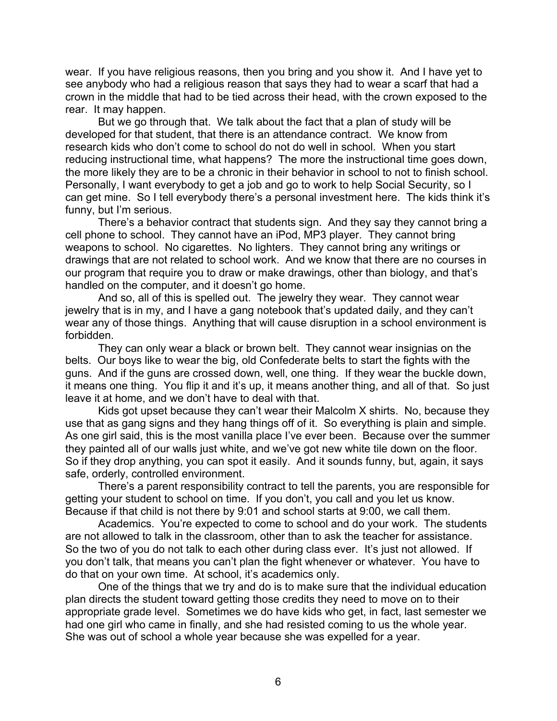wear. If you have religious reasons, then you bring and you show it. And I have yet to see anybody who had a religious reason that says they had to wear a scarf that had a crown in the middle that had to be tied across their head, with the crown exposed to the rear. It may happen.

But we go through that. We talk about the fact that a plan of study will be developed for that student, that there is an attendance contract. We know from research kids who don't come to school do not do well in school. When you start reducing instructional time, what happens? The more the instructional time goes down, the more likely they are to be a chronic in their behavior in school to not to finish school. Personally, I want everybody to get a job and go to work to help Social Security, so I can get mine. So I tell everybody there's a personal investment here. The kids think it's funny, but I'm serious.

There's a behavior contract that students sign. And they say they cannot bring a cell phone to school. They cannot have an iPod, MP3 player. They cannot bring weapons to school. No cigarettes. No lighters. They cannot bring any writings or drawings that are not related to school work. And we know that there are no courses in our program that require you to draw or make drawings, other than biology, and that's handled on the computer, and it doesn't go home.

And so, all of this is spelled out. The jewelry they wear. They cannot wear jewelry that is in my, and I have a gang notebook that's updated daily, and they can't wear any of those things. Anything that will cause disruption in a school environment is forbidden.

They can only wear a black or brown belt. They cannot wear insignias on the belts. Our boys like to wear the big, old Confederate belts to start the fights with the guns. And if the guns are crossed down, well, one thing. If they wear the buckle down, it means one thing. You flip it and it's up, it means another thing, and all of that. So just leave it at home, and we don't have to deal with that.

Kids got upset because they can't wear their Malcolm X shirts. No, because they use that as gang signs and they hang things off of it. So everything is plain and simple. As one girl said, this is the most vanilla place I've ever been. Because over the summer they painted all of our walls just white, and we've got new white tile down on the floor. So if they drop anything, you can spot it easily. And it sounds funny, but, again, it says safe, orderly, controlled environment.

There's a parent responsibility contract to tell the parents, you are responsible for getting your student to school on time. If you don't, you call and you let us know. Because if that child is not there by 9:01 and school starts at 9:00, we call them.

Academics. You're expected to come to school and do your work. The students are not allowed to talk in the classroom, other than to ask the teacher for assistance. So the two of you do not talk to each other during class ever. It's just not allowed. If you don't talk, that means you can't plan the fight whenever or whatever. You have to do that on your own time. At school, it's academics only.

One of the things that we try and do is to make sure that the individual education plan directs the student toward getting those credits they need to move on to their appropriate grade level. Sometimes we do have kids who get, in fact, last semester we had one girl who came in finally, and she had resisted coming to us the whole year. She was out of school a whole year because she was expelled for a year.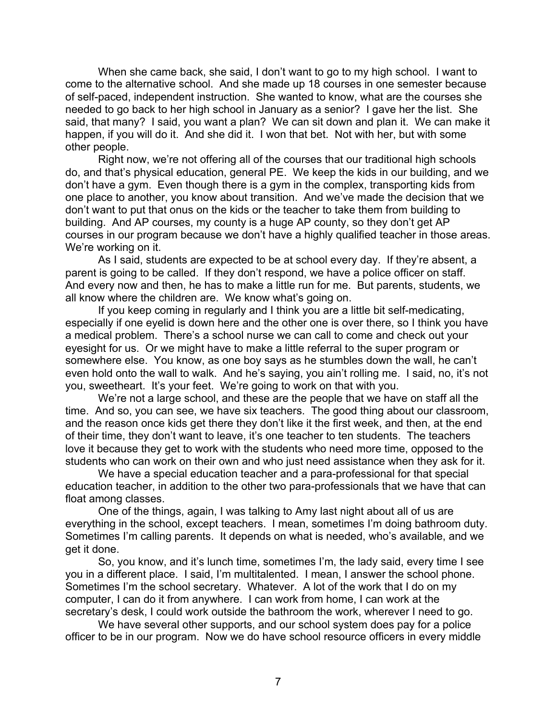When she came back, she said, I don't want to go to my high school. I want to come to the alternative school. And she made up 18 courses in one semester because of self-paced, independent instruction. She wanted to know, what are the courses she needed to go back to her high school in January as a senior? I gave her the list. She said, that many? I said, you want a plan? We can sit down and plan it. We can make it happen, if you will do it. And she did it. I won that bet. Not with her, but with some other people.

Right now, we're not offering all of the courses that our traditional high schools do, and that's physical education, general PE. We keep the kids in our building, and we don't have a gym. Even though there is a gym in the complex, transporting kids from one place to another, you know about transition. And we've made the decision that we don't want to put that onus on the kids or the teacher to take them from building to building. And AP courses, my county is a huge AP county, so they don't get AP courses in our program because we don't have a highly qualified teacher in those areas. We're working on it.

As I said, students are expected to be at school every day. If they're absent, a parent is going to be called. If they don't respond, we have a police officer on staff. And every now and then, he has to make a little run for me. But parents, students, we all know where the children are. We know what's going on.

If you keep coming in regularly and I think you are a little bit self-medicating, especially if one eyelid is down here and the other one is over there, so I think you have a medical problem. There's a school nurse we can call to come and check out your eyesight for us. Or we might have to make a little referral to the super program or somewhere else. You know, as one boy says as he stumbles down the wall, he can't even hold onto the wall to walk. And he's saying, you ain't rolling me. I said, no, it's not you, sweetheart. It's your feet. We're going to work on that with you.

We're not a large school, and these are the people that we have on staff all the time. And so, you can see, we have six teachers. The good thing about our classroom, and the reason once kids get there they don't like it the first week, and then, at the end of their time, they don't want to leave, it's one teacher to ten students. The teachers love it because they get to work with the students who need more time, opposed to the students who can work on their own and who just need assistance when they ask for it.

We have a special education teacher and a para-professional for that special education teacher, in addition to the other two para-professionals that we have that can float among classes.

One of the things, again, I was talking to Amy last night about all of us are everything in the school, except teachers. I mean, sometimes I'm doing bathroom duty. Sometimes I'm calling parents. It depends on what is needed, who's available, and we get it done.

So, you know, and it's lunch time, sometimes I'm, the lady said, every time I see you in a different place. I said, I'm multitalented. I mean, I answer the school phone. Sometimes I'm the school secretary. Whatever. A lot of the work that I do on my computer, I can do it from anywhere. I can work from home, I can work at the secretary's desk, I could work outside the bathroom the work, wherever I need to go.

We have several other supports, and our school system does pay for a police officer to be in our program. Now we do have school resource officers in every middle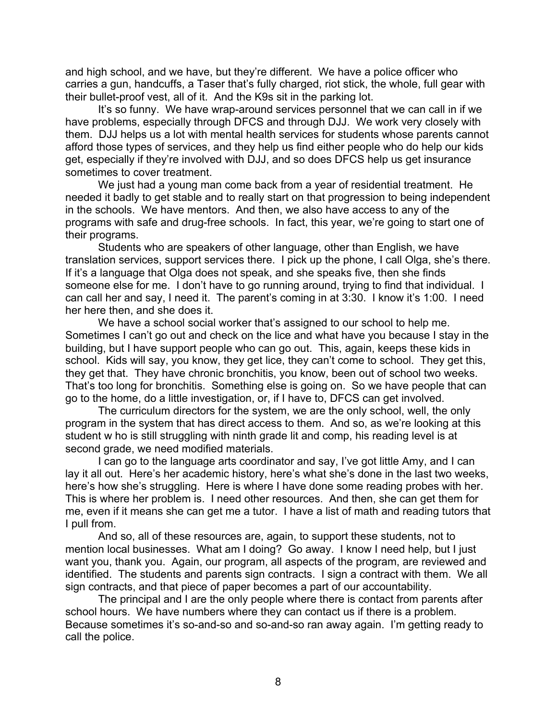and high school, and we have, but they're different. We have a police officer who carries a gun, handcuffs, a Taser that's fully charged, riot stick, the whole, full gear with their bullet-proof vest, all of it. And the K9s sit in the parking lot.

It's so funny. We have wrap-around services personnel that we can call in if we have problems, especially through DFCS and through DJJ. We work very closely with them. DJJ helps us a lot with mental health services for students whose parents cannot afford those types of services, and they help us find either people who do help our kids get, especially if they're involved with DJJ, and so does DFCS help us get insurance sometimes to cover treatment.

We just had a young man come back from a year of residential treatment. He needed it badly to get stable and to really start on that progression to being independent in the schools. We have mentors. And then, we also have access to any of the programs with safe and drug-free schools. In fact, this year, we're going to start one of their programs.

Students who are speakers of other language, other than English, we have translation services, support services there. I pick up the phone, I call Olga, she's there. If it's a language that Olga does not speak, and she speaks five, then she finds someone else for me. I don't have to go running around, trying to find that individual. I can call her and say, I need it. The parent's coming in at 3:30. I know it's 1:00. I need her here then, and she does it.

We have a school social worker that's assigned to our school to help me. Sometimes I can't go out and check on the lice and what have you because I stay in the building, but I have support people who can go out. This, again, keeps these kids in school. Kids will say, you know, they get lice, they can't come to school. They get this, they get that. They have chronic bronchitis, you know, been out of school two weeks. That's too long for bronchitis. Something else is going on. So we have people that can go to the home, do a little investigation, or, if I have to, DFCS can get involved.

The curriculum directors for the system, we are the only school, well, the only program in the system that has direct access to them. And so, as we're looking at this student w ho is still struggling with ninth grade lit and comp, his reading level is at second grade, we need modified materials.

I can go to the language arts coordinator and say, I've got little Amy, and I can lay it all out. Here's her academic history, here's what she's done in the last two weeks, here's how she's struggling. Here is where I have done some reading probes with her. This is where her problem is. I need other resources. And then, she can get them for me, even if it means she can get me a tutor. I have a list of math and reading tutors that I pull from.

And so, all of these resources are, again, to support these students, not to mention local businesses. What am I doing? Go away. I know I need help, but I just want you, thank you. Again, our program, all aspects of the program, are reviewed and identified. The students and parents sign contracts. I sign a contract with them. We all sign contracts, and that piece of paper becomes a part of our accountability.

The principal and I are the only people where there is contact from parents after school hours. We have numbers where they can contact us if there is a problem. Because sometimes it's so-and-so and so-and-so ran away again. I'm getting ready to call the police.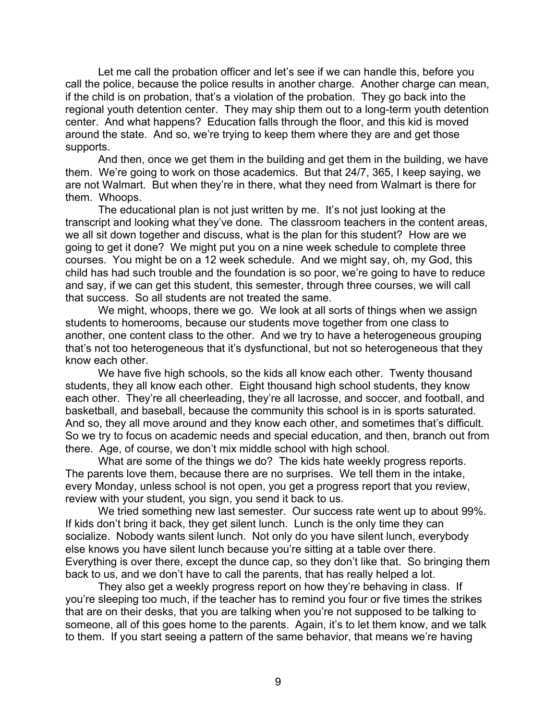Let me call the probation officer and let's see if we can handle this, before you call the police, because the police results in another charge. Another charge can mean, if the child is on probation, that's a violation of the probation. They go back into the regional youth detention center. They may ship them out to a long-term youth detention center. And what happens? Education falls through the floor, and this kid is moved around the state. And so, we're trying to keep them where they are and get those supports.

And then, once we get them in the building and get them in the building, we have them. We're going to work on those academics. But that 24/7, 365, I keep saying, we are not Walmart. But when they're in there, what they need from Walmart is there for them. Whoops.

The educational plan is not just written by me. It's not just looking at the transcript and looking what they've done. The classroom teachers in the content areas, we all sit down together and discuss, what is the plan for this student? How are we going to get it done? We might put you on a nine week schedule to complete three courses. You might be on a 12 week schedule. And we might say, oh, my God, this child has had such trouble and the foundation is so poor, we're going to have to reduce and say, if we can get this student, this semester, through three courses, we will call that success. So all students are not treated the same.

We might, whoops, there we go. We look at all sorts of things when we assign students to homerooms, because our students move together from one class to another, one content class to the other. And we try to have a heterogeneous grouping that's not too heterogeneous that it's dysfunctional, but not so heterogeneous that they know each other.

We have five high schools, so the kids all know each other. Twenty thousand students, they all know each other. Eight thousand high school students, they know each other. They're all cheerleading, they're all lacrosse, and soccer, and football, and basketball, and baseball, because the community this school is in is sports saturated. And so, they all move around and they know each other, and sometimes that's difficult. So we try to focus on academic needs and special education, and then, branch out from there. Age, of course, we don't mix middle school with high school.

What are some of the things we do? The kids hate weekly progress reports. The parents love them, because there are no surprises. We tell them in the intake, every Monday, unless school is not open, you get a progress report that you review, review with your student, you sign, you send it back to us.

We tried something new last semester. Our success rate went up to about 99%. If kids don't bring it back, they get silent lunch. Lunch is the only time they can socialize. Nobody wants silent lunch. Not only do you have silent lunch, everybody else knows you have silent lunch because you're sitting at a table over there. Everything is over there, except the dunce cap, so they don't like that. So bringing them back to us, and we don't have to call the parents, that has really helped a lot.

They also get a weekly progress report on how they're behaving in class. If you're sleeping too much, if the teacher has to remind you four or five times the strikes that are on their desks, that you are talking when you're not supposed to be talking to someone, all of this goes home to the parents. Again, it's to let them know, and we talk to them. If you start seeing a pattern of the same behavior, that means we're having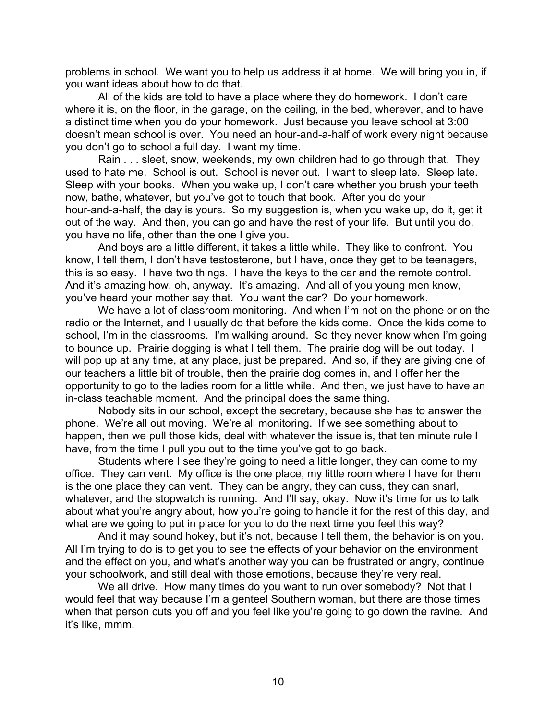problems in school. We want you to help us address it at home. We will bring you in, if you want ideas about how to do that.

All of the kids are told to have a place where they do homework. I don't care where it is, on the floor, in the garage, on the ceiling, in the bed, wherever, and to have a distinct time when you do your homework. Just because you leave school at 3:00 doesn't mean school is over. You need an hour-and-a-half of work every night because you don't go to school a full day. I want my time.

Rain . . . sleet, snow, weekends, my own children had to go through that. They used to hate me. School is out. School is never out. I want to sleep late. Sleep late. Sleep with your books. When you wake up, I don't care whether you brush your teeth now, bathe, whatever, but you've got to touch that book. After you do your hour-and-a-half, the day is yours. So my suggestion is, when you wake up, do it, get it out of the way. And then, you can go and have the rest of your life. But until you do, you have no life, other than the one I give you.

And boys are a little different, it takes a little while. They like to confront. You know, I tell them, I don't have testosterone, but I have, once they get to be teenagers, this is so easy. I have two things. I have the keys to the car and the remote control. And it's amazing how, oh, anyway. It's amazing. And all of you young men know, you've heard your mother say that. You want the car? Do your homework.

We have a lot of classroom monitoring. And when I'm not on the phone or on the radio or the Internet, and I usually do that before the kids come. Once the kids come to school, I'm in the classrooms. I'm walking around. So they never know when I'm going to bounce up. Prairie dogging is what I tell them. The prairie dog will be out today. I will pop up at any time, at any place, just be prepared. And so, if they are giving one of our teachers a little bit of trouble, then the prairie dog comes in, and I offer her the opportunity to go to the ladies room for a little while. And then, we just have to have an in-class teachable moment. And the principal does the same thing.

Nobody sits in our school, except the secretary, because she has to answer the phone. We're all out moving. We're all monitoring. If we see something about to happen, then we pull those kids, deal with whatever the issue is, that ten minute rule I have, from the time I pull you out to the time you've got to go back.

Students where I see they're going to need a little longer, they can come to my office. They can vent. My office is the one place, my little room where I have for them is the one place they can vent. They can be angry, they can cuss, they can snarl, whatever, and the stopwatch is running. And I'll say, okay. Now it's time for us to talk about what you're angry about, how you're going to handle it for the rest of this day, and what are we going to put in place for you to do the next time you feel this way?

And it may sound hokey, but it's not, because I tell them, the behavior is on you. All I'm trying to do is to get you to see the effects of your behavior on the environment and the effect on you, and what's another way you can be frustrated or angry, continue your schoolwork, and still deal with those emotions, because they're very real.

We all drive. How many times do you want to run over somebody? Not that I would feel that way because I'm a genteel Southern woman, but there are those times when that person cuts you off and you feel like you're going to go down the ravine. And it's like, mmm.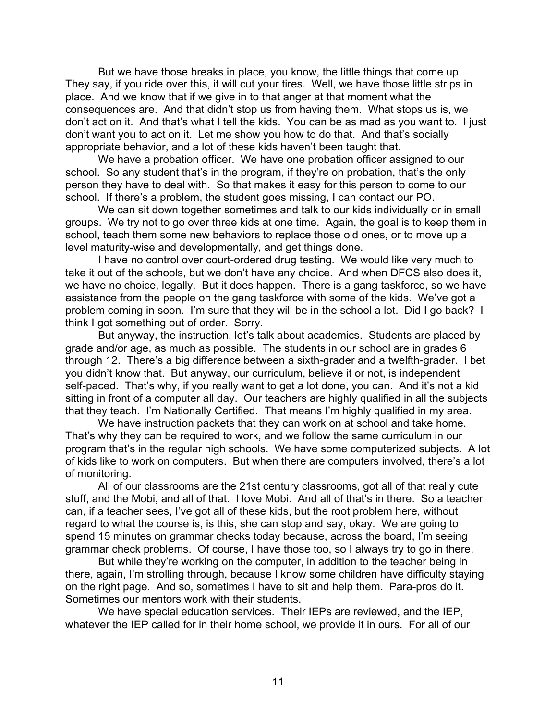But we have those breaks in place, you know, the little things that come up. They say, if you ride over this, it will cut your tires. Well, we have those little strips in place. And we know that if we give in to that anger at that moment what the consequences are. And that didn't stop us from having them. What stops us is, we don't act on it. And that's what I tell the kids. You can be as mad as you want to. I just don't want you to act on it. Let me show you how to do that. And that's socially appropriate behavior, and a lot of these kids haven't been taught that.

We have a probation officer. We have one probation officer assigned to our school. So any student that's in the program, if they're on probation, that's the only person they have to deal with. So that makes it easy for this person to come to our school. If there's a problem, the student goes missing, I can contact our PO.

We can sit down together sometimes and talk to our kids individually or in small groups. We try not to go over three kids at one time. Again, the goal is to keep them in school, teach them some new behaviors to replace those old ones, or to move up a level maturity-wise and developmentally, and get things done.

I have no control over court-ordered drug testing. We would like very much to take it out of the schools, but we don't have any choice. And when DFCS also does it, we have no choice, legally. But it does happen. There is a gang taskforce, so we have assistance from the people on the gang taskforce with some of the kids. We've got a problem coming in soon. I'm sure that they will be in the school a lot. Did I go back? I think I got something out of order. Sorry.

But anyway, the instruction, let's talk about academics. Students are placed by grade and/or age, as much as possible. The students in our school are in grades 6 through 12. There's a big difference between a sixth-grader and a twelfth-grader. I bet you didn't know that. But anyway, our curriculum, believe it or not, is independent self-paced. That's why, if you really want to get a lot done, you can. And it's not a kid sitting in front of a computer all day. Our teachers are highly qualified in all the subjects that they teach. I'm Nationally Certified. That means I'm highly qualified in my area.

We have instruction packets that they can work on at school and take home. That's why they can be required to work, and we follow the same curriculum in our program that's in the regular high schools. We have some computerized subjects. A lot of kids like to work on computers. But when there are computers involved, there's a lot of monitoring.

All of our classrooms are the 21st century classrooms, got all of that really cute stuff, and the Mobi, and all of that. I love Mobi. And all of that's in there. So a teacher can, if a teacher sees, I've got all of these kids, but the root problem here, without regard to what the course is, is this, she can stop and say, okay. We are going to spend 15 minutes on grammar checks today because, across the board, I'm seeing grammar check problems. Of course, I have those too, so I always try to go in there.

But while they're working on the computer, in addition to the teacher being in there, again, I'm strolling through, because I know some children have difficulty staying on the right page. And so, sometimes I have to sit and help them. Para-pros do it. Sometimes our mentors work with their students.

We have special education services. Their IEPs are reviewed, and the IEP, whatever the IEP called for in their home school, we provide it in ours. For all of our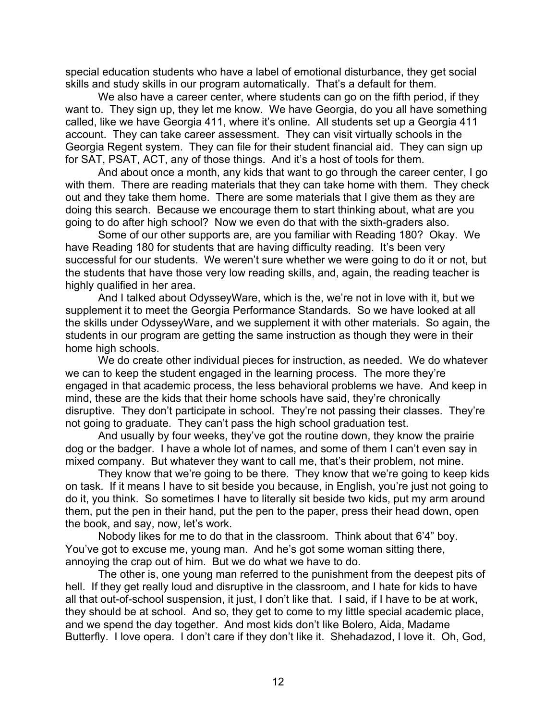special education students who have a label of emotional disturbance, they get social skills and study skills in our program automatically. That's a default for them.

We also have a career center, where students can go on the fifth period, if they want to. They sign up, they let me know. We have Georgia, do you all have something called, like we have Georgia 411, where it's online. All students set up a Georgia 411 account. They can take career assessment. They can visit virtually schools in the Georgia Regent system. They can file for their student financial aid. They can sign up for SAT, PSAT, ACT, any of those things. And it's a host of tools for them.

And about once a month, any kids that want to go through the career center, I go with them. There are reading materials that they can take home with them. They check out and they take them home. There are some materials that I give them as they are doing this search. Because we encourage them to start thinking about, what are you going to do after high school? Now we even do that with the sixth-graders also.

Some of our other supports are, are you familiar with Reading 180? Okay. We have Reading 180 for students that are having difficulty reading. It's been very successful for our students. We weren't sure whether we were going to do it or not, but the students that have those very low reading skills, and, again, the reading teacher is highly qualified in her area.

And I talked about OdysseyWare, which is the, we're not in love with it, but we supplement it to meet the Georgia Performance Standards. So we have looked at all the skills under OdysseyWare, and we supplement it with other materials. So again, the students in our program are getting the same instruction as though they were in their home high schools.

We do create other individual pieces for instruction, as needed. We do whatever we can to keep the student engaged in the learning process. The more they're engaged in that academic process, the less behavioral problems we have. And keep in mind, these are the kids that their home schools have said, they're chronically disruptive. They don't participate in school. They're not passing their classes. They're not going to graduate. They can't pass the high school graduation test.

And usually by four weeks, they've got the routine down, they know the prairie dog or the badger. I have a whole lot of names, and some of them I can't even say in mixed company. But whatever they want to call me, that's their problem, not mine.

They know that we're going to be there. They know that we're going to keep kids on task. If it means I have to sit beside you because, in English, you're just not going to do it, you think. So sometimes I have to literally sit beside two kids, put my arm around them, put the pen in their hand, put the pen to the paper, press their head down, open the book, and say, now, let's work.

Nobody likes for me to do that in the classroom. Think about that 6'4" boy. You've got to excuse me, young man. And he's got some woman sitting there, annoying the crap out of him. But we do what we have to do.

The other is, one young man referred to the punishment from the deepest pits of hell. If they get really loud and disruptive in the classroom, and I hate for kids to have all that out-of-school suspension, it just, I don't like that. I said, if I have to be at work, they should be at school. And so, they get to come to my little special academic place, and we spend the day together. And most kids don't like Bolero, Aida, Madame Butterfly. I love opera. I don't care if they don't like it. Shehadazod, I love it. Oh, God,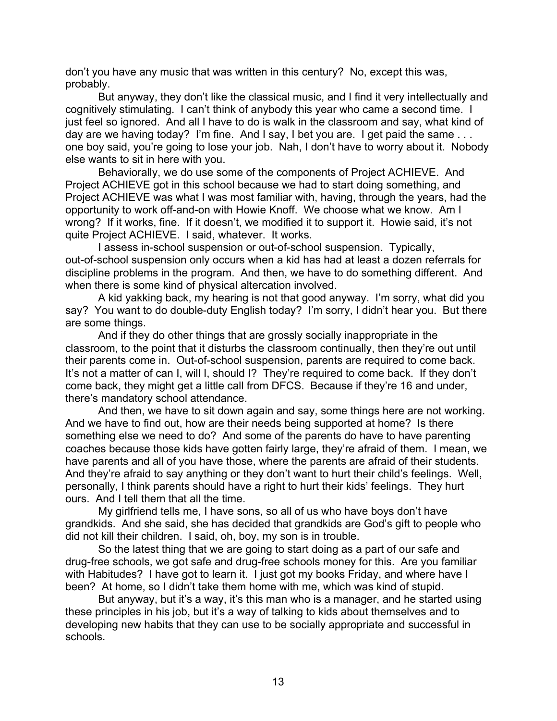don't you have any music that was written in this century? No, except this was, probably.

But anyway, they don't like the classical music, and I find it very intellectually and cognitively stimulating. I can't think of anybody this year who came a second time. I just feel so ignored. And all I have to do is walk in the classroom and say, what kind of day are we having today? I'm fine. And I say, I bet you are. I get paid the same ... one boy said, you're going to lose your job. Nah, I don't have to worry about it. Nobody else wants to sit in here with you.

Behaviorally, we do use some of the components of Project ACHIEVE. And Project ACHIEVE got in this school because we had to start doing something, and Project ACHIEVE was what I was most familiar with, having, through the years, had the opportunity to work off-and-on with Howie Knoff. We choose what we know. Am I wrong? If it works, fine. If it doesn't, we modified it to support it. Howie said, it's not quite Project ACHIEVE. I said, whatever. It works.

I assess in-school suspension or out-of-school suspension. Typically, out-of-school suspension only occurs when a kid has had at least a dozen referrals for discipline problems in the program. And then, we have to do something different. And when there is some kind of physical altercation involved.

A kid yakking back, my hearing is not that good anyway. I'm sorry, what did you say? You want to do double-duty English today? I'm sorry, I didn't hear you. But there are some things.

And if they do other things that are grossly socially inappropriate in the classroom, to the point that it disturbs the classroom continually, then they're out until their parents come in. Out-of-school suspension, parents are required to come back. It's not a matter of can I, will I, should I? They're required to come back. If they don't come back, they might get a little call from DFCS. Because if they're 16 and under, there's mandatory school attendance.

And then, we have to sit down again and say, some things here are not working. And we have to find out, how are their needs being supported at home? Is there something else we need to do? And some of the parents do have to have parenting coaches because those kids have gotten fairly large, they're afraid of them. I mean, we have parents and all of you have those, where the parents are afraid of their students. And they're afraid to say anything or they don't want to hurt their child's feelings. Well, personally, I think parents should have a right to hurt their kids' feelings. They hurt ours. And I tell them that all the time.

My girlfriend tells me, I have sons, so all of us who have boys don't have grandkids. And she said, she has decided that grandkids are God's gift to people who did not kill their children. I said, oh, boy, my son is in trouble.

So the latest thing that we are going to start doing as a part of our safe and drug-free schools, we got safe and drug-free schools money for this. Are you familiar with Habitudes? I have got to learn it. I just got my books Friday, and where have I been? At home, so I didn't take them home with me, which was kind of stupid.

But anyway, but it's a way, it's this man who is a manager, and he started using these principles in his job, but it's a way of talking to kids about themselves and to developing new habits that they can use to be socially appropriate and successful in schools.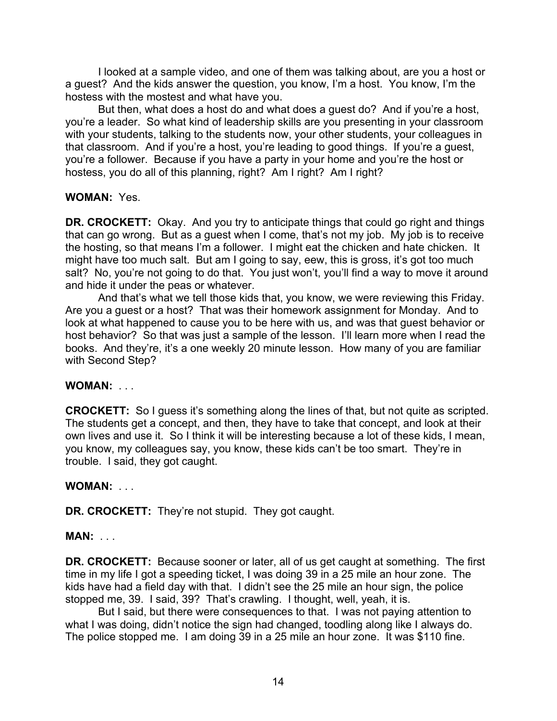I looked at a sample video, and one of them was talking about, are you a host or a guest? And the kids answer the question, you know, I'm a host. You know, I'm the hostess with the mostest and what have you.

But then, what does a host do and what does a guest do? And if you're a host, you're a leader. So what kind of leadership skills are you presenting in your classroom with your students, talking to the students now, your other students, your colleagues in that classroom. And if you're a host, you're leading to good things. If you're a guest, you're a follower. Because if you have a party in your home and you're the host or hostess, you do all of this planning, right? Am I right? Am I right?

## **WOMAN:** Yes.

**DR. CROCKETT:** Okay. And you try to anticipate things that could go right and things that can go wrong. But as a guest when I come, that's not my job. My job is to receive the hosting, so that means I'm a follower. I might eat the chicken and hate chicken. It might have too much salt. But am I going to say, eew, this is gross, it's got too much salt? No, you're not going to do that. You just won't, you'll find a way to move it around and hide it under the peas or whatever.

And that's what we tell those kids that, you know, we were reviewing this Friday. Are you a guest or a host? That was their homework assignment for Monday. And to look at what happened to cause you to be here with us, and was that guest behavior or host behavior? So that was just a sample of the lesson. I'll learn more when I read the books. And they're, it's a one weekly 20 minute lesson. How many of you are familiar with Second Step?

# **WOMAN:** . . .

**CROCKETT:** So I guess it's something along the lines of that, but not quite as scripted. The students get a concept, and then, they have to take that concept, and look at their own lives and use it. So I think it will be interesting because a lot of these kids, I mean, you know, my colleagues say, you know, these kids can't be too smart. They're in trouble. I said, they got caught.

### **WOMAN:** . . .

**DR. CROCKETT:** They're not stupid. They got caught.

### **MAN:** . . .

**DR. CROCKETT:** Because sooner or later, all of us get caught at something. The first time in my life I got a speeding ticket, I was doing 39 in a 25 mile an hour zone. The kids have had a field day with that. I didn't see the 25 mile an hour sign, the police stopped me, 39. I said, 39? That's crawling. I thought, well, yeah, it is.

But I said, but there were consequences to that. I was not paying attention to what I was doing, didn't notice the sign had changed, toodling along like I always do. The police stopped me. I am doing 39 in a 25 mile an hour zone. It was \$110 fine.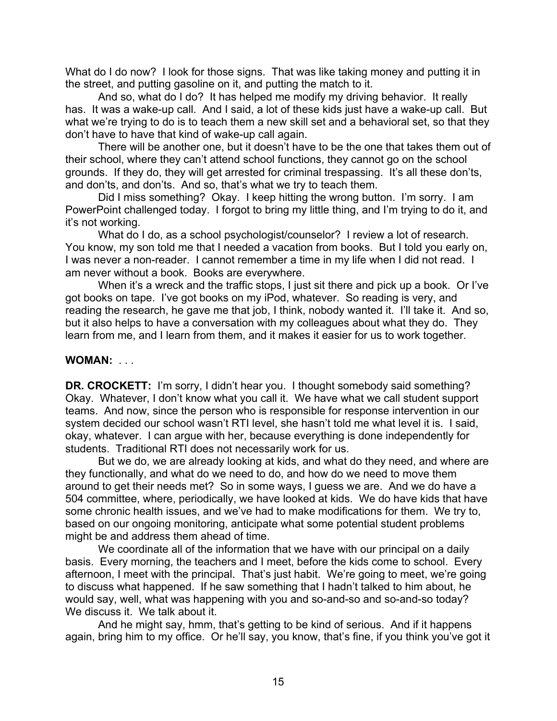What do I do now? I look for those signs. That was like taking money and putting it in the street, and putting gasoline on it, and putting the match to it.

And so, what do I do? It has helped me modify my driving behavior. It really has. It was a wake-up call. And I said, a lot of these kids just have a wake-up call. But what we're trying to do is to teach them a new skill set and a behavioral set, so that they don't have to have that kind of wake-up call again.

There will be another one, but it doesn't have to be the one that takes them out of their school, where they can't attend school functions, they cannot go on the school grounds. If they do, they will get arrested for criminal trespassing. It's all these don'ts, and don'ts, and don'ts. And so, that's what we try to teach them.

Did I miss something? Okay. I keep hitting the wrong button. I'm sorry. I am PowerPoint challenged today. I forgot to bring my little thing, and I'm trying to do it, and it's not working.

What do I do, as a school psychologist/counselor? I review a lot of research. You know, my son told me that I needed a vacation from books. But I told you early on, I was never a non-reader. I cannot remember a time in my life when I did not read. I am never without a book. Books are everywhere.

When it's a wreck and the traffic stops, I just sit there and pick up a book. Or I've got books on tape. I've got books on my iPod, whatever. So reading is very, and reading the research, he gave me that job, I think, nobody wanted it. I'll take it. And so, but it also helps to have a conversation with my colleagues about what they do. They learn from me, and I learn from them, and it makes it easier for us to work together.

### **WOMAN:** . . .

**DR. CROCKETT:** I'm sorry, I didn't hear you. I thought somebody said something? Okay. Whatever, I don't know what you call it. We have what we call student support teams. And now, since the person who is responsible for response intervention in our system decided our school wasn't RTI level, she hasn't told me what level it is. I said, okay, whatever. I can argue with her, because everything is done independently for students. Traditional RTI does not necessarily work for us.

But we do, we are already looking at kids, and what do they need, and where are they functionally, and what do we need to do, and how do we need to move them around to get their needs met? So in some ways, I guess we are. And we do have a 504 committee, where, periodically, we have looked at kids. We do have kids that have some chronic health issues, and we've had to make modifications for them. We try to, based on our ongoing monitoring, anticipate what some potential student problems might be and address them ahead of time.

We coordinate all of the information that we have with our principal on a daily basis. Every morning, the teachers and I meet, before the kids come to school. Every afternoon, I meet with the principal. That's just habit. We're going to meet, we're going to discuss what happened. If he saw something that I hadn't talked to him about, he would say, well, what was happening with you and so-and-so and so-and-so today? We discuss it. We talk about it.

And he might say, hmm, that's getting to be kind of serious. And if it happens again, bring him to my office. Or he'll say, you know, that's fine, if you think you've got it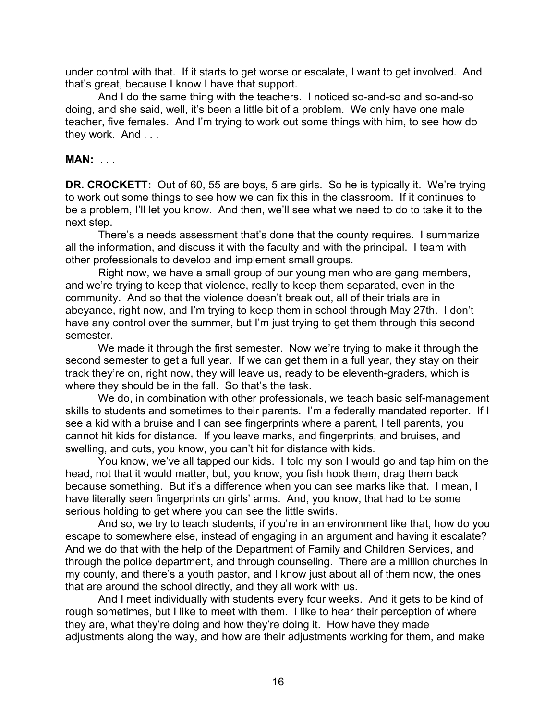under control with that. If it starts to get worse or escalate, I want to get involved. And that's great, because I know I have that support.

And I do the same thing with the teachers. I noticed so-and-so and so-and-so doing, and she said, well, it's been a little bit of a problem. We only have one male teacher, five females. And I'm trying to work out some things with him, to see how do they work. And . . .

#### **MAN:** . . .

**DR. CROCKETT:** Out of 60, 55 are boys, 5 are girls. So he is typically it. We're trying to work out some things to see how we can fix this in the classroom. If it continues to be a problem, I'll let you know. And then, we'll see what we need to do to take it to the next step.

There's a needs assessment that's done that the county requires. I summarize all the information, and discuss it with the faculty and with the principal. I team with other professionals to develop and implement small groups.

Right now, we have a small group of our young men who are gang members, and we're trying to keep that violence, really to keep them separated, even in the community. And so that the violence doesn't break out, all of their trials are in abeyance, right now, and I'm trying to keep them in school through May 27th. I don't have any control over the summer, but I'm just trying to get them through this second semester.

We made it through the first semester. Now we're trying to make it through the second semester to get a full year. If we can get them in a full year, they stay on their track they're on, right now, they will leave us, ready to be eleventh-graders, which is where they should be in the fall. So that's the task.

We do, in combination with other professionals, we teach basic self-management skills to students and sometimes to their parents. I'm a federally mandated reporter. If I see a kid with a bruise and I can see fingerprints where a parent, I tell parents, you cannot hit kids for distance. If you leave marks, and fingerprints, and bruises, and swelling, and cuts, you know, you can't hit for distance with kids.

You know, we've all tapped our kids. I told my son I would go and tap him on the head, not that it would matter, but, you know, you fish hook them, drag them back because something. But it's a difference when you can see marks like that. I mean, I have literally seen fingerprints on girls' arms. And, you know, that had to be some serious holding to get where you can see the little swirls.

And so, we try to teach students, if you're in an environment like that, how do you escape to somewhere else, instead of engaging in an argument and having it escalate? And we do that with the help of the Department of Family and Children Services, and through the police department, and through counseling. There are a million churches in my county, and there's a youth pastor, and I know just about all of them now, the ones that are around the school directly, and they all work with us.

And I meet individually with students every four weeks. And it gets to be kind of rough sometimes, but I like to meet with them. I like to hear their perception of where they are, what they're doing and how they're doing it. How have they made adjustments along the way, and how are their adjustments working for them, and make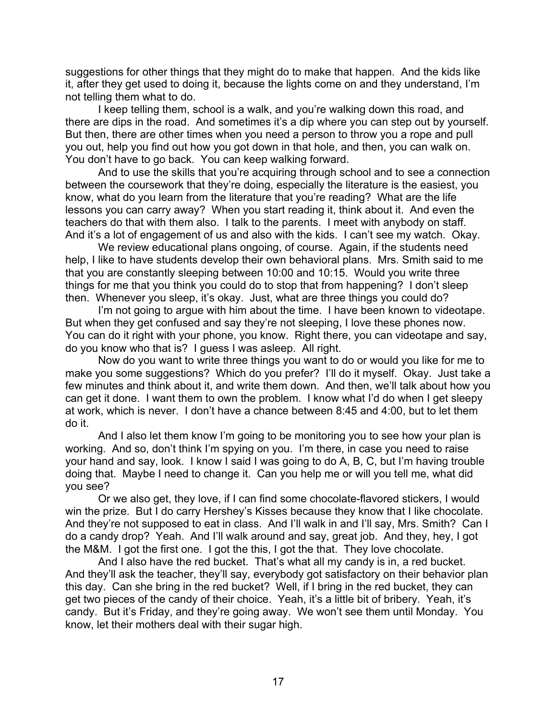suggestions for other things that they might do to make that happen. And the kids like it, after they get used to doing it, because the lights come on and they understand, I'm not telling them what to do.

I keep telling them, school is a walk, and you're walking down this road, and there are dips in the road. And sometimes it's a dip where you can step out by yourself. But then, there are other times when you need a person to throw you a rope and pull you out, help you find out how you got down in that hole, and then, you can walk on. You don't have to go back. You can keep walking forward.

And to use the skills that you're acquiring through school and to see a connection between the coursework that they're doing, especially the literature is the easiest, you know, what do you learn from the literature that you're reading? What are the life lessons you can carry away? When you start reading it, think about it. And even the teachers do that with them also. I talk to the parents. I meet with anybody on staff. And it's a lot of engagement of us and also with the kids. I can't see my watch. Okay.

We review educational plans ongoing, of course. Again, if the students need help, I like to have students develop their own behavioral plans. Mrs. Smith said to me that you are constantly sleeping between 10:00 and 10:15. Would you write three things for me that you think you could do to stop that from happening? I don't sleep then. Whenever you sleep, it's okay. Just, what are three things you could do?

I'm not going to argue with him about the time. I have been known to videotape. But when they get confused and say they're not sleeping, I love these phones now. You can do it right with your phone, you know. Right there, you can videotape and say, do you know who that is? I guess I was asleep. All right.

Now do you want to write three things you want to do or would you like for me to make you some suggestions? Which do you prefer? I'll do it myself. Okay. Just take a few minutes and think about it, and write them down. And then, we'll talk about how you can get it done. I want them to own the problem. I know what I'd do when I get sleepy at work, which is never. I don't have a chance between 8:45 and 4:00, but to let them do it.

And I also let them know I'm going to be monitoring you to see how your plan is working. And so, don't think I'm spying on you. I'm there, in case you need to raise your hand and say, look. I know I said I was going to do A, B, C, but I'm having trouble doing that. Maybe I need to change it. Can you help me or will you tell me, what did you see?

Or we also get, they love, if I can find some chocolate-flavored stickers, I would win the prize. But I do carry Hershey's Kisses because they know that I like chocolate. And they're not supposed to eat in class. And I'll walk in and I'll say, Mrs. Smith? Can I do a candy drop? Yeah. And I'll walk around and say, great job. And they, hey, I got the M&M. I got the first one. I got the this, I got the that. They love chocolate.

And I also have the red bucket. That's what all my candy is in, a red bucket. And they'll ask the teacher, they'll say, everybody got satisfactory on their behavior plan this day. Can she bring in the red bucket? Well, if I bring in the red bucket, they can get two pieces of the candy of their choice. Yeah, it's a little bit of bribery. Yeah, it's candy. But it's Friday, and they're going away. We won't see them until Monday. You know, let their mothers deal with their sugar high.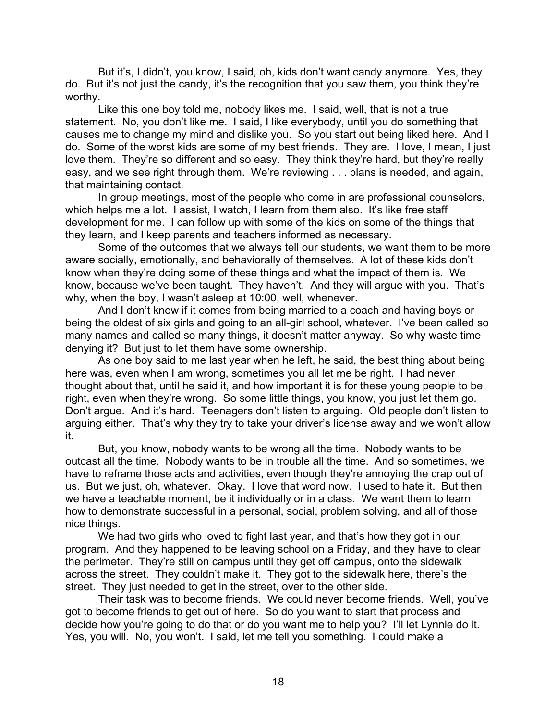But it's, I didn't, you know, I said, oh, kids don't want candy anymore. Yes, they do. But it's not just the candy, it's the recognition that you saw them, you think they're worthy.

Like this one boy told me, nobody likes me. I said, well, that is not a true statement. No, you don't like me. I said, I like everybody, until you do something that causes me to change my mind and dislike you. So you start out being liked here. And I do. Some of the worst kids are some of my best friends. They are. I love, I mean, I just love them. They're so different and so easy. They think they're hard, but they're really easy, and we see right through them. We're reviewing . . . plans is needed, and again, that maintaining contact.

In group meetings, most of the people who come in are professional counselors, which helps me a lot. I assist, I watch, I learn from them also. It's like free staff development for me. I can follow up with some of the kids on some of the things that they learn, and I keep parents and teachers informed as necessary.

Some of the outcomes that we always tell our students, we want them to be more aware socially, emotionally, and behaviorally of themselves. A lot of these kids don't know when they're doing some of these things and what the impact of them is. We know, because we've been taught. They haven't. And they will argue with you. That's why, when the boy, I wasn't asleep at 10:00, well, whenever.

And I don't know if it comes from being married to a coach and having boys or being the oldest of six girls and going to an all-girl school, whatever. I've been called so many names and called so many things, it doesn't matter anyway. So why waste time denying it? But just to let them have some ownership.

As one boy said to me last year when he left, he said, the best thing about being here was, even when I am wrong, sometimes you all let me be right. I had never thought about that, until he said it, and how important it is for these young people to be right, even when they're wrong. So some little things, you know, you just let them go. Don't argue. And it's hard. Teenagers don't listen to arguing. Old people don't listen to arguing either. That's why they try to take your driver's license away and we won't allow it.

But, you know, nobody wants to be wrong all the time. Nobody wants to be outcast all the time. Nobody wants to be in trouble all the time. And so sometimes, we have to reframe those acts and activities, even though they're annoying the crap out of us. But we just, oh, whatever. Okay. I love that word now. I used to hate it. But then we have a teachable moment, be it individually or in a class. We want them to learn how to demonstrate successful in a personal, social, problem solving, and all of those nice things.

We had two girls who loved to fight last year, and that's how they got in our program. And they happened to be leaving school on a Friday, and they have to clear the perimeter. They're still on campus until they get off campus, onto the sidewalk across the street. They couldn't make it. They got to the sidewalk here, there's the street. They just needed to get in the street, over to the other side.

Their task was to become friends. We could never become friends. Well, you've got to become friends to get out of here. So do you want to start that process and decide how you're going to do that or do you want me to help you? I'll let Lynnie do it. Yes, you will. No, you won't. I said, let me tell you something. I could make a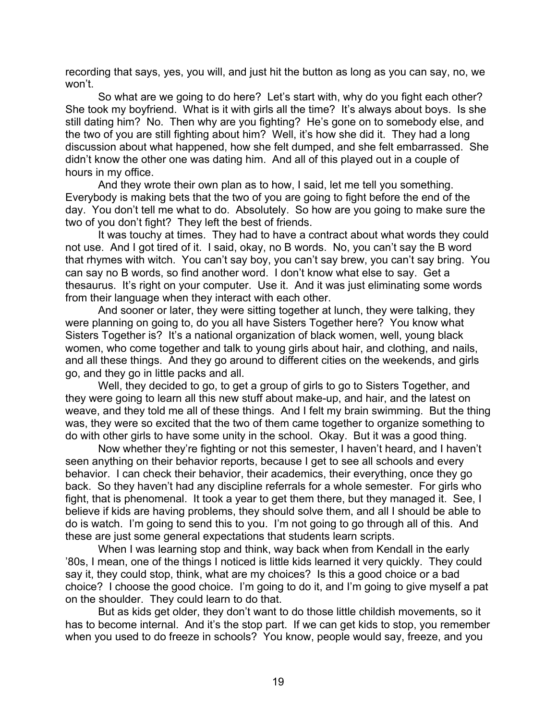recording that says, yes, you will, and just hit the button as long as you can say, no, we won't.

So what are we going to do here? Let's start with, why do you fight each other? She took my boyfriend. What is it with girls all the time? It's always about boys. Is she still dating him? No. Then why are you fighting? He's gone on to somebody else, and the two of you are still fighting about him? Well, it's how she did it. They had a long discussion about what happened, how she felt dumped, and she felt embarrassed. She didn't know the other one was dating him. And all of this played out in a couple of hours in my office.

And they wrote their own plan as to how, I said, let me tell you something. Everybody is making bets that the two of you are going to fight before the end of the day. You don't tell me what to do. Absolutely. So how are you going to make sure the two of you don't fight? They left the best of friends.

It was touchy at times. They had to have a contract about what words they could not use. And I got tired of it. I said, okay, no B words. No, you can't say the B word that rhymes with witch. You can't say boy, you can't say brew, you can't say bring. You can say no B words, so find another word. I don't know what else to say. Get a thesaurus. It's right on your computer. Use it. And it was just eliminating some words from their language when they interact with each other.

And sooner or later, they were sitting together at lunch, they were talking, they were planning on going to, do you all have Sisters Together here? You know what Sisters Together is? It's a national organization of black women, well, young black women, who come together and talk to young girls about hair, and clothing, and nails, and all these things. And they go around to different cities on the weekends, and girls go, and they go in little packs and all.

Well, they decided to go, to get a group of girls to go to Sisters Together, and they were going to learn all this new stuff about make-up, and hair, and the latest on weave, and they told me all of these things. And I felt my brain swimming. But the thing was, they were so excited that the two of them came together to organize something to do with other girls to have some unity in the school. Okay. But it was a good thing.

Now whether they're fighting or not this semester, I haven't heard, and I haven't seen anything on their behavior reports, because I get to see all schools and every behavior. I can check their behavior, their academics, their everything, once they go back. So they haven't had any discipline referrals for a whole semester. For girls who fight, that is phenomenal. It took a year to get them there, but they managed it. See, I believe if kids are having problems, they should solve them, and all I should be able to do is watch. I'm going to send this to you. I'm not going to go through all of this. And these are just some general expectations that students learn scripts.

When I was learning stop and think, way back when from Kendall in the early '80s, I mean, one of the things I noticed is little kids learned it very quickly. They could say it, they could stop, think, what are my choices? Is this a good choice or a bad choice? I choose the good choice. I'm going to do it, and I'm going to give myself a pat on the shoulder. They could learn to do that.

But as kids get older, they don't want to do those little childish movements, so it has to become internal. And it's the stop part. If we can get kids to stop, you remember when you used to do freeze in schools? You know, people would say, freeze, and you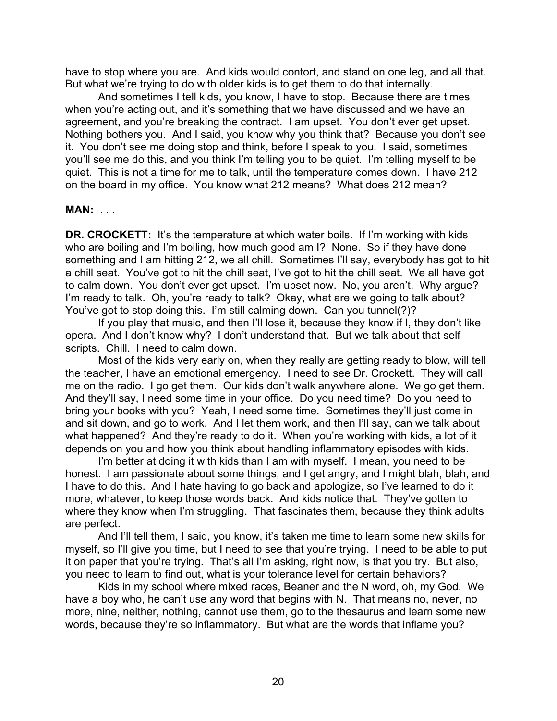have to stop where you are. And kids would contort, and stand on one leg, and all that. But what we're trying to do with older kids is to get them to do that internally.

And sometimes I tell kids, you know, I have to stop. Because there are times when you're acting out, and it's something that we have discussed and we have an agreement, and you're breaking the contract. I am upset. You don't ever get upset. Nothing bothers you. And I said, you know why you think that? Because you don't see it. You don't see me doing stop and think, before I speak to you. I said, sometimes you'll see me do this, and you think I'm telling you to be quiet. I'm telling myself to be quiet. This is not a time for me to talk, until the temperature comes down. I have 212 on the board in my office. You know what 212 means? What does 212 mean?

## **MAN:** . . .

**DR. CROCKETT:** It's the temperature at which water boils. If I'm working with kids who are boiling and I'm boiling, how much good am I? None. So if they have done something and I am hitting 212, we all chill. Sometimes I'll say, everybody has got to hit a chill seat. You've got to hit the chill seat, I've got to hit the chill seat. We all have got to calm down. You don't ever get upset. I'm upset now. No, you aren't. Why argue? I'm ready to talk. Oh, you're ready to talk? Okay, what are we going to talk about? You've got to stop doing this. I'm still calming down. Can you tunnel(?)?

If you play that music, and then I'll lose it, because they know if I, they don't like opera. And I don't know why? I don't understand that. But we talk about that self scripts. Chill. I need to calm down.

Most of the kids very early on, when they really are getting ready to blow, will tell the teacher, I have an emotional emergency. I need to see Dr. Crockett. They will call me on the radio. I go get them. Our kids don't walk anywhere alone. We go get them. And they'll say, I need some time in your office. Do you need time? Do you need to bring your books with you? Yeah, I need some time. Sometimes they'll just come in and sit down, and go to work. And I let them work, and then I'll say, can we talk about what happened? And they're ready to do it. When you're working with kids, a lot of it depends on you and how you think about handling inflammatory episodes with kids.

I'm better at doing it with kids than I am with myself. I mean, you need to be honest. I am passionate about some things, and I get angry, and I might blah, blah, and I have to do this. And I hate having to go back and apologize, so I've learned to do it more, whatever, to keep those words back. And kids notice that. They've gotten to where they know when I'm struggling. That fascinates them, because they think adults are perfect.

And I'll tell them, I said, you know, it's taken me time to learn some new skills for myself, so I'll give you time, but I need to see that you're trying. I need to be able to put it on paper that you're trying. That's all I'm asking, right now, is that you try. But also, you need to learn to find out, what is your tolerance level for certain behaviors?

Kids in my school where mixed races, Beaner and the N word, oh, my God. We have a boy who, he can't use any word that begins with N. That means no, never, no more, nine, neither, nothing, cannot use them, go to the thesaurus and learn some new words, because they're so inflammatory. But what are the words that inflame you?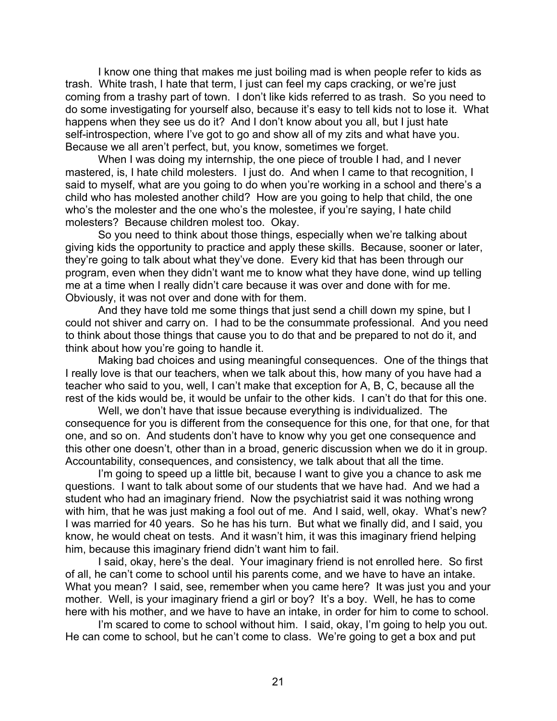I know one thing that makes me just boiling mad is when people refer to kids as trash. White trash, I hate that term, I just can feel my caps cracking, or we're just coming from a trashy part of town. I don't like kids referred to as trash. So you need to do some investigating for yourself also, because it's easy to tell kids not to lose it. What happens when they see us do it? And I don't know about you all, but I just hate self-introspection, where I've got to go and show all of my zits and what have you. Because we all aren't perfect, but, you know, sometimes we forget.

When I was doing my internship, the one piece of trouble I had, and I never mastered, is, I hate child molesters. I just do. And when I came to that recognition, I said to myself, what are you going to do when you're working in a school and there's a child who has molested another child? How are you going to help that child, the one who's the molester and the one who's the molestee, if you're saying, I hate child molesters? Because children molest too. Okay.

So you need to think about those things, especially when we're talking about giving kids the opportunity to practice and apply these skills. Because, sooner or later, they're going to talk about what they've done. Every kid that has been through our program, even when they didn't want me to know what they have done, wind up telling me at a time when I really didn't care because it was over and done with for me. Obviously, it was not over and done with for them.

And they have told me some things that just send a chill down my spine, but I could not shiver and carry on. I had to be the consummate professional. And you need to think about those things that cause you to do that and be prepared to not do it, and think about how you're going to handle it.

Making bad choices and using meaningful consequences. One of the things that I really love is that our teachers, when we talk about this, how many of you have had a teacher who said to you, well, I can't make that exception for A, B, C, because all the rest of the kids would be, it would be unfair to the other kids. I can't do that for this one.

Well, we don't have that issue because everything is individualized. The consequence for you is different from the consequence for this one, for that one, for that one, and so on. And students don't have to know why you get one consequence and this other one doesn't, other than in a broad, generic discussion when we do it in group. Accountability, consequences, and consistency, we talk about that all the time.

I'm going to speed up a little bit, because I want to give you a chance to ask me questions. I want to talk about some of our students that we have had. And we had a student who had an imaginary friend. Now the psychiatrist said it was nothing wrong with him, that he was just making a fool out of me. And I said, well, okay. What's new? I was married for 40 years. So he has his turn. But what we finally did, and I said, you know, he would cheat on tests. And it wasn't him, it was this imaginary friend helping him, because this imaginary friend didn't want him to fail.

I said, okay, here's the deal. Your imaginary friend is not enrolled here. So first of all, he can't come to school until his parents come, and we have to have an intake. What you mean? I said, see, remember when you came here? It was just you and your mother. Well, is your imaginary friend a girl or boy? It's a boy. Well, he has to come here with his mother, and we have to have an intake, in order for him to come to school.

I'm scared to come to school without him. I said, okay, I'm going to help you out. He can come to school, but he can't come to class. We're going to get a box and put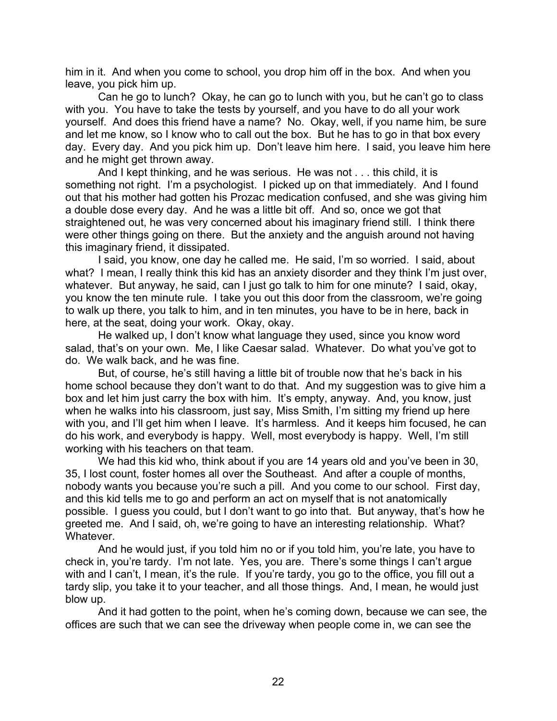him in it. And when you come to school, you drop him off in the box. And when you leave, you pick him up.

Can he go to lunch? Okay, he can go to lunch with you, but he can't go to class with you. You have to take the tests by yourself, and you have to do all your work yourself. And does this friend have a name? No. Okay, well, if you name him, be sure and let me know, so I know who to call out the box. But he has to go in that box every day. Every day. And you pick him up. Don't leave him here. I said, you leave him here and he might get thrown away.

And I kept thinking, and he was serious. He was not . . . this child, it is something not right. I'm a psychologist. I picked up on that immediately. And I found out that his mother had gotten his Prozac medication confused, and she was giving him a double dose every day. And he was a little bit off. And so, once we got that straightened out, he was very concerned about his imaginary friend still. I think there were other things going on there. But the anxiety and the anguish around not having this imaginary friend, it dissipated.

I said, you know, one day he called me. He said, I'm so worried. I said, about what? I mean, I really think this kid has an anxiety disorder and they think I'm just over, whatever. But anyway, he said, can I just go talk to him for one minute? I said, okay, you know the ten minute rule. I take you out this door from the classroom, we're going to walk up there, you talk to him, and in ten minutes, you have to be in here, back in here, at the seat, doing your work. Okay, okay.

He walked up, I don't know what language they used, since you know word salad, that's on your own. Me, I like Caesar salad. Whatever. Do what you've got to do. We walk back, and he was fine.

But, of course, he's still having a little bit of trouble now that he's back in his home school because they don't want to do that. And my suggestion was to give him a box and let him just carry the box with him. It's empty, anyway. And, you know, just when he walks into his classroom, just say, Miss Smith, I'm sitting my friend up here with you, and I'll get him when I leave. It's harmless. And it keeps him focused, he can do his work, and everybody is happy. Well, most everybody is happy. Well, I'm still working with his teachers on that team.

We had this kid who, think about if you are 14 years old and you've been in 30, 35, I lost count, foster homes all over the Southeast. And after a couple of months, nobody wants you because you're such a pill. And you come to our school. First day, and this kid tells me to go and perform an act on myself that is not anatomically possible. I guess you could, but I don't want to go into that. But anyway, that's how he greeted me. And I said, oh, we're going to have an interesting relationship. What? Whatever.

And he would just, if you told him no or if you told him, you're late, you have to check in, you're tardy. I'm not late. Yes, you are. There's some things I can't argue with and I can't, I mean, it's the rule. If you're tardy, you go to the office, you fill out a tardy slip, you take it to your teacher, and all those things. And, I mean, he would just blow up.

And it had gotten to the point, when he's coming down, because we can see, the offices are such that we can see the driveway when people come in, we can see the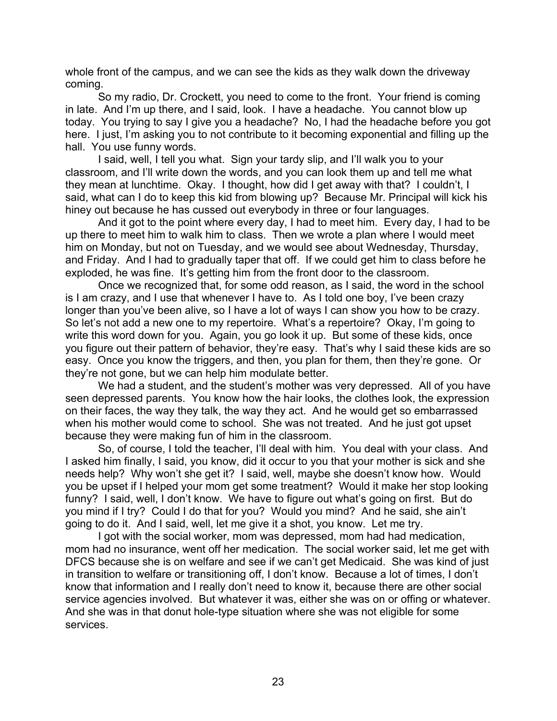whole front of the campus, and we can see the kids as they walk down the driveway coming.

So my radio, Dr. Crockett, you need to come to the front. Your friend is coming in late. And I'm up there, and I said, look. I have a headache. You cannot blow up today. You trying to say I give you a headache? No, I had the headache before you got here. I just, I'm asking you to not contribute to it becoming exponential and filling up the hall. You use funny words.

I said, well, I tell you what. Sign your tardy slip, and I'll walk you to your classroom, and I'll write down the words, and you can look them up and tell me what they mean at lunchtime. Okay. I thought, how did I get away with that? I couldn't, I said, what can I do to keep this kid from blowing up? Because Mr. Principal will kick his hiney out because he has cussed out everybody in three or four languages.

And it got to the point where every day, I had to meet him. Every day, I had to be up there to meet him to walk him to class. Then we wrote a plan where I would meet him on Monday, but not on Tuesday, and we would see about Wednesday, Thursday, and Friday. And I had to gradually taper that off. If we could get him to class before he exploded, he was fine. It's getting him from the front door to the classroom.

Once we recognized that, for some odd reason, as I said, the word in the school is I am crazy, and I use that whenever I have to. As I told one boy, I've been crazy longer than you've been alive, so I have a lot of ways I can show you how to be crazy. So let's not add a new one to my repertoire. What's a repertoire? Okay, I'm going to write this word down for you. Again, you go look it up. But some of these kids, once you figure out their pattern of behavior, they're easy. That's why I said these kids are so easy. Once you know the triggers, and then, you plan for them, then they're gone. Or they're not gone, but we can help him modulate better.

We had a student, and the student's mother was very depressed. All of you have seen depressed parents. You know how the hair looks, the clothes look, the expression on their faces, the way they talk, the way they act. And he would get so embarrassed when his mother would come to school. She was not treated. And he just got upset because they were making fun of him in the classroom.

So, of course, I told the teacher, I'll deal with him. You deal with your class. And I asked him finally, I said, you know, did it occur to you that your mother is sick and she needs help? Why won't she get it? I said, well, maybe she doesn't know how. Would you be upset if I helped your mom get some treatment? Would it make her stop looking funny? I said, well, I don't know. We have to figure out what's going on first. But do you mind if I try? Could I do that for you? Would you mind? And he said, she ain't going to do it. And I said, well, let me give it a shot, you know. Let me try.

I got with the social worker, mom was depressed, mom had had medication, mom had no insurance, went off her medication. The social worker said, let me get with DFCS because she is on welfare and see if we can't get Medicaid. She was kind of just in transition to welfare or transitioning off, I don't know. Because a lot of times, I don't know that information and I really don't need to know it, because there are other social service agencies involved. But whatever it was, either she was on or offing or whatever. And she was in that donut hole-type situation where she was not eligible for some services.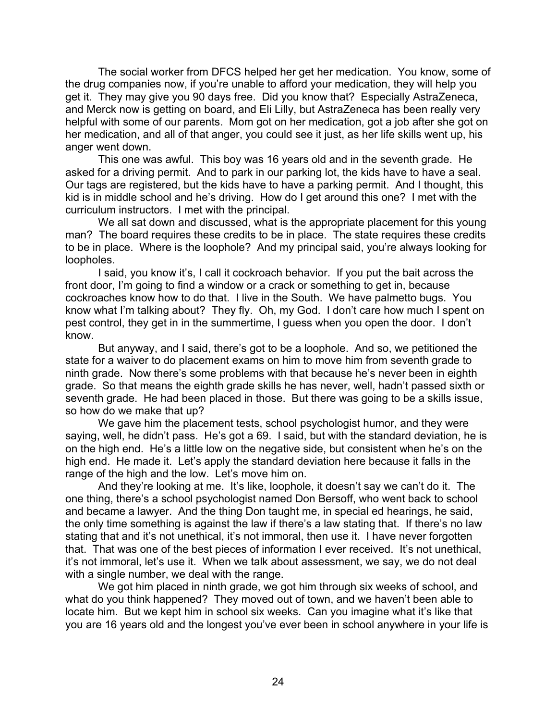The social worker from DFCS helped her get her medication. You know, some of the drug companies now, if you're unable to afford your medication, they will help you get it. They may give you 90 days free. Did you know that? Especially AstraZeneca, and Merck now is getting on board, and Eli Lilly, but AstraZeneca has been really very helpful with some of our parents. Mom got on her medication, got a job after she got on her medication, and all of that anger, you could see it just, as her life skills went up, his anger went down.

This one was awful. This boy was 16 years old and in the seventh grade. He asked for a driving permit. And to park in our parking lot, the kids have to have a seal. Our tags are registered, but the kids have to have a parking permit. And I thought, this kid is in middle school and he's driving. How do I get around this one? I met with the curriculum instructors. I met with the principal.

We all sat down and discussed, what is the appropriate placement for this young man? The board requires these credits to be in place. The state requires these credits to be in place. Where is the loophole? And my principal said, you're always looking for loopholes.

I said, you know it's, I call it cockroach behavior. If you put the bait across the front door, I'm going to find a window or a crack or something to get in, because cockroaches know how to do that. I live in the South. We have palmetto bugs. You know what I'm talking about? They fly. Oh, my God. I don't care how much I spent on pest control, they get in in the summertime, I guess when you open the door. I don't know.

But anyway, and I said, there's got to be a loophole. And so, we petitioned the state for a waiver to do placement exams on him to move him from seventh grade to ninth grade. Now there's some problems with that because he's never been in eighth grade. So that means the eighth grade skills he has never, well, hadn't passed sixth or seventh grade. He had been placed in those. But there was going to be a skills issue, so how do we make that up?

We gave him the placement tests, school psychologist humor, and they were saying, well, he didn't pass. He's got a 69. I said, but with the standard deviation, he is on the high end. He's a little low on the negative side, but consistent when he's on the high end. He made it. Let's apply the standard deviation here because it falls in the range of the high and the low. Let's move him on.

And they're looking at me. It's like, loophole, it doesn't say we can't do it. The one thing, there's a school psychologist named Don Bersoff, who went back to school and became a lawyer. And the thing Don taught me, in special ed hearings, he said, the only time something is against the law if there's a law stating that. If there's no law stating that and it's not unethical, it's not immoral, then use it. I have never forgotten that. That was one of the best pieces of information I ever received. It's not unethical, it's not immoral, let's use it. When we talk about assessment, we say, we do not deal with a single number, we deal with the range.

We got him placed in ninth grade, we got him through six weeks of school, and what do you think happened? They moved out of town, and we haven't been able to locate him. But we kept him in school six weeks. Can you imagine what it's like that you are 16 years old and the longest you've ever been in school anywhere in your life is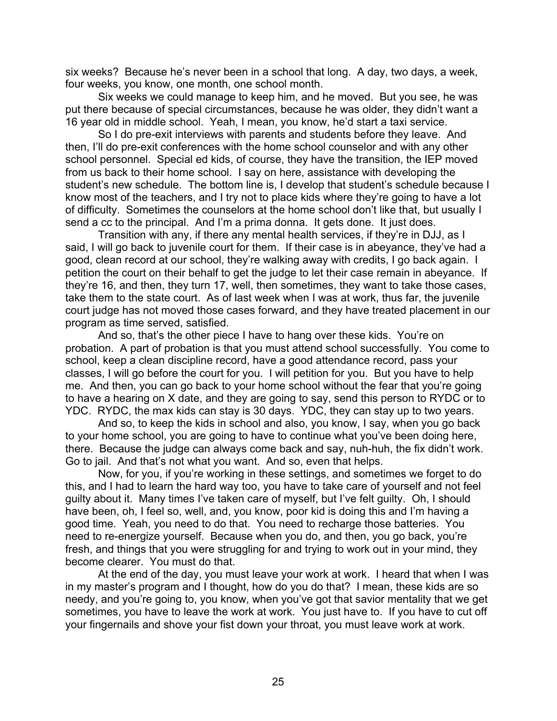six weeks? Because he's never been in a school that long. A day, two days, a week, four weeks, you know, one month, one school month.

Six weeks we could manage to keep him, and he moved. But you see, he was put there because of special circumstances, because he was older, they didn't want a 16 year old in middle school. Yeah, I mean, you know, he'd start a taxi service.

So I do pre-exit interviews with parents and students before they leave. And then, I'll do pre-exit conferences with the home school counselor and with any other school personnel. Special ed kids, of course, they have the transition, the IEP moved from us back to their home school. I say on here, assistance with developing the student's new schedule. The bottom line is, I develop that student's schedule because I know most of the teachers, and I try not to place kids where they're going to have a lot of difficulty. Sometimes the counselors at the home school don't like that, but usually I send a cc to the principal. And I'm a prima donna. It gets done. It just does.

Transition with any, if there any mental health services, if they're in DJJ, as I said, I will go back to juvenile court for them. If their case is in abeyance, they've had a good, clean record at our school, they're walking away with credits, I go back again. I petition the court on their behalf to get the judge to let their case remain in abeyance. If they're 16, and then, they turn 17, well, then sometimes, they want to take those cases, take them to the state court. As of last week when I was at work, thus far, the juvenile court judge has not moved those cases forward, and they have treated placement in our program as time served, satisfied.

And so, that's the other piece I have to hang over these kids. You're on probation. A part of probation is that you must attend school successfully. You come to school, keep a clean discipline record, have a good attendance record, pass your classes, I will go before the court for you. I will petition for you. But you have to help me. And then, you can go back to your home school without the fear that you're going to have a hearing on X date, and they are going to say, send this person to RYDC or to YDC. RYDC, the max kids can stay is 30 days. YDC, they can stay up to two years.

And so, to keep the kids in school and also, you know, I say, when you go back to your home school, you are going to have to continue what you've been doing here, there. Because the judge can always come back and say, nuh-huh, the fix didn't work. Go to jail. And that's not what you want. And so, even that helps.

Now, for you, if you're working in these settings, and sometimes we forget to do this, and I had to learn the hard way too, you have to take care of yourself and not feel guilty about it. Many times I've taken care of myself, but I've felt guilty. Oh, I should have been, oh, I feel so, well, and, you know, poor kid is doing this and I'm having a good time. Yeah, you need to do that. You need to recharge those batteries. You need to re-energize yourself. Because when you do, and then, you go back, you're fresh, and things that you were struggling for and trying to work out in your mind, they become clearer. You must do that.

At the end of the day, you must leave your work at work. I heard that when I was in my master's program and I thought, how do you do that? I mean, these kids are so needy, and you're going to, you know, when you've got that savior mentality that we get sometimes, you have to leave the work at work. You just have to. If you have to cut off your fingernails and shove your fist down your throat, you must leave work at work.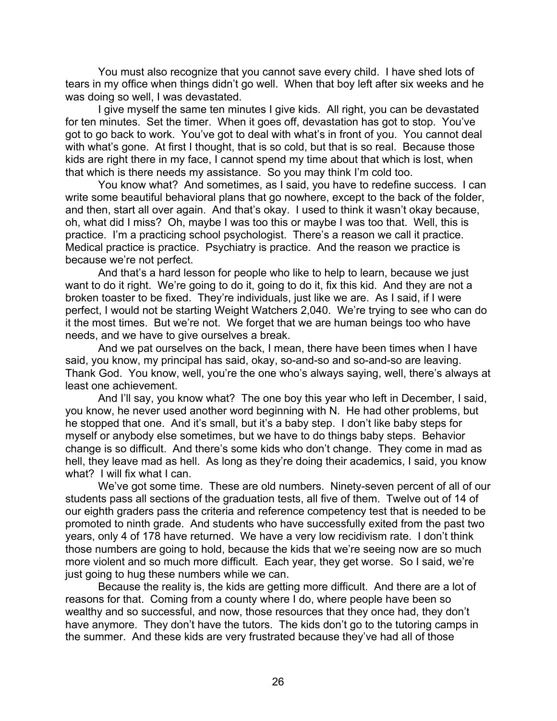You must also recognize that you cannot save every child. I have shed lots of tears in my office when things didn't go well. When that boy left after six weeks and he was doing so well, I was devastated.

I give myself the same ten minutes I give kids. All right, you can be devastated for ten minutes. Set the timer. When it goes off, devastation has got to stop. You've got to go back to work. You've got to deal with what's in front of you. You cannot deal with what's gone. At first I thought, that is so cold, but that is so real. Because those kids are right there in my face, I cannot spend my time about that which is lost, when that which is there needs my assistance. So you may think I'm cold too.

You know what? And sometimes, as I said, you have to redefine success. I can write some beautiful behavioral plans that go nowhere, except to the back of the folder, and then, start all over again. And that's okay. I used to think it wasn't okay because, oh, what did I miss? Oh, maybe I was too this or maybe I was too that. Well, this is practice. I'm a practicing school psychologist. There's a reason we call it practice. Medical practice is practice. Psychiatry is practice. And the reason we practice is because we're not perfect.

And that's a hard lesson for people who like to help to learn, because we just want to do it right. We're going to do it, going to do it, fix this kid. And they are not a broken toaster to be fixed. They're individuals, just like we are. As I said, if I were perfect, I would not be starting Weight Watchers 2,040. We're trying to see who can do it the most times. But we're not. We forget that we are human beings too who have needs, and we have to give ourselves a break.

And we pat ourselves on the back, I mean, there have been times when I have said, you know, my principal has said, okay, so-and-so and so-and-so are leaving. Thank God. You know, well, you're the one who's always saying, well, there's always at least one achievement.

And I'll say, you know what? The one boy this year who left in December, I said, you know, he never used another word beginning with N. He had other problems, but he stopped that one. And it's small, but it's a baby step. I don't like baby steps for myself or anybody else sometimes, but we have to do things baby steps. Behavior change is so difficult. And there's some kids who don't change. They come in mad as hell, they leave mad as hell. As long as they're doing their academics, I said, you know what? I will fix what I can.

We've got some time. These are old numbers. Ninety-seven percent of all of our students pass all sections of the graduation tests, all five of them. Twelve out of 14 of our eighth graders pass the criteria and reference competency test that is needed to be promoted to ninth grade. And students who have successfully exited from the past two years, only 4 of 178 have returned. We have a very low recidivism rate. I don't think those numbers are going to hold, because the kids that we're seeing now are so much more violent and so much more difficult. Each year, they get worse. So I said, we're just going to hug these numbers while we can.

Because the reality is, the kids are getting more difficult. And there are a lot of reasons for that. Coming from a county where I do, where people have been so wealthy and so successful, and now, those resources that they once had, they don't have anymore. They don't have the tutors. The kids don't go to the tutoring camps in the summer. And these kids are very frustrated because they've had all of those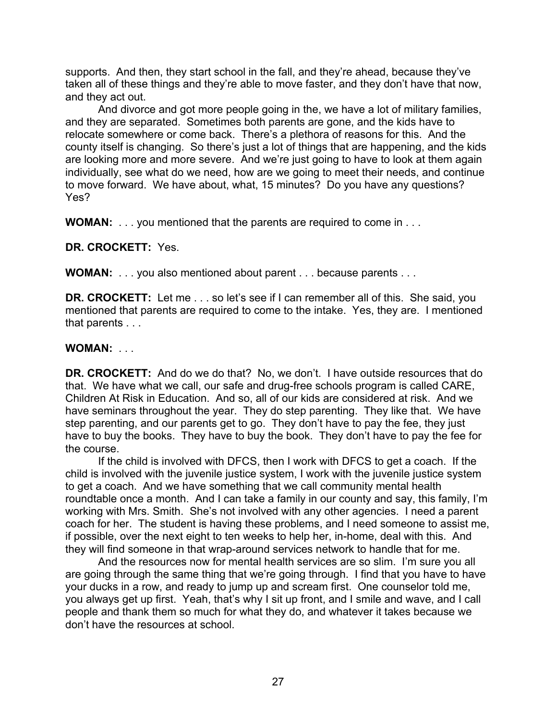supports. And then, they start school in the fall, and they're ahead, because they've taken all of these things and they're able to move faster, and they don't have that now, and they act out.

And divorce and got more people going in the, we have a lot of military families, and they are separated. Sometimes both parents are gone, and the kids have to relocate somewhere or come back. There's a plethora of reasons for this. And the county itself is changing. So there's just a lot of things that are happening, and the kids are looking more and more severe. And we're just going to have to look at them again individually, see what do we need, how are we going to meet their needs, and continue to move forward. We have about, what, 15 minutes? Do you have any questions? Yes?

**WOMAN:** . . . you mentioned that the parents are required to come in . . .

**DR. CROCKETT:** Yes.

**WOMAN:** . . . you also mentioned about parent . . . because parents . . .

**DR. CROCKETT:** Let me . . . so let's see if I can remember all of this. She said, you mentioned that parents are required to come to the intake. Yes, they are. I mentioned that parents . . .

## **WOMAN:** . . .

**DR. CROCKETT:** And do we do that? No, we don't. I have outside resources that do that. We have what we call, our safe and drug-free schools program is called CARE, Children At Risk in Education. And so, all of our kids are considered at risk. And we have seminars throughout the year. They do step parenting. They like that. We have step parenting, and our parents get to go. They don't have to pay the fee, they just have to buy the books. They have to buy the book. They don't have to pay the fee for the course.

If the child is involved with DFCS, then I work with DFCS to get a coach. If the child is involved with the juvenile justice system, I work with the juvenile justice system to get a coach. And we have something that we call community mental health roundtable once a month. And I can take a family in our county and say, this family, I'm working with Mrs. Smith. She's not involved with any other agencies. I need a parent coach for her. The student is having these problems, and I need someone to assist me, if possible, over the next eight to ten weeks to help her, in-home, deal with this. And they will find someone in that wrap-around services network to handle that for me.

And the resources now for mental health services are so slim. I'm sure you all are going through the same thing that we're going through. I find that you have to have your ducks in a row, and ready to jump up and scream first. One counselor told me, you always get up first. Yeah, that's why I sit up front, and I smile and wave, and I call people and thank them so much for what they do, and whatever it takes because we don't have the resources at school.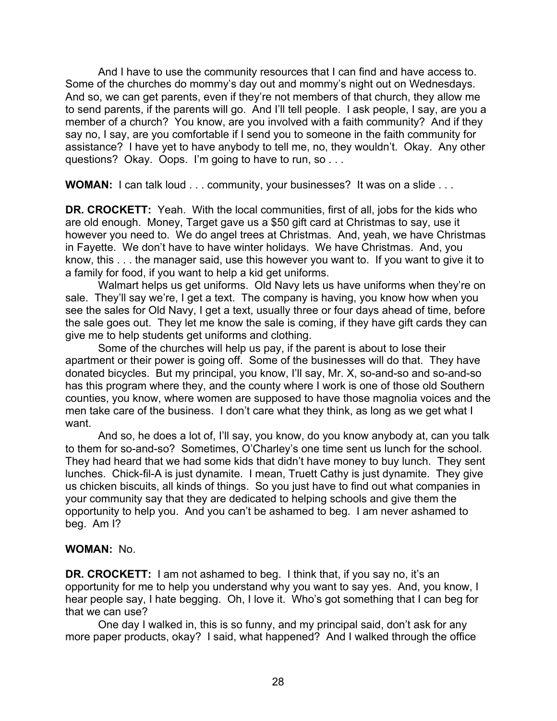And I have to use the community resources that I can find and have access to. Some of the churches do mommy's day out and mommy's night out on Wednesdays. And so, we can get parents, even if they're not members of that church, they allow me to send parents, if the parents will go. And I'll tell people. I ask people, I say, are you a member of a church? You know, are you involved with a faith community? And if they say no, I say, are you comfortable if I send you to someone in the faith community for assistance? I have yet to have anybody to tell me, no, they wouldn't. Okay. Any other questions? Okay. Oops. I'm going to have to run, so . . .

**WOMAN:** I can talk loud . . . community, your businesses? It was on a slide . . .

**DR. CROCKETT:** Yeah. With the local communities, first of all, jobs for the kids who are old enough. Money, Target gave us a \$50 gift card at Christmas to say, use it however you need to. We do angel trees at Christmas. And, yeah, we have Christmas in Fayette. We don't have to have winter holidays. We have Christmas. And, you know, this . . . the manager said, use this however you want to. If you want to give it to a family for food, if you want to help a kid get uniforms.

Walmart helps us get uniforms. Old Navy lets us have uniforms when they're on sale. They'll say we're, I get a text. The company is having, you know how when you see the sales for Old Navy, I get a text, usually three or four days ahead of time, before the sale goes out. They let me know the sale is coming, if they have gift cards they can give me to help students get uniforms and clothing.

Some of the churches will help us pay, if the parent is about to lose their apartment or their power is going off. Some of the businesses will do that. They have donated bicycles. But my principal, you know, I'll say, Mr. X, so-and-so and so-and-so has this program where they, and the county where I work is one of those old Southern counties, you know, where women are supposed to have those magnolia voices and the men take care of the business. I don't care what they think, as long as we get what I want.

And so, he does a lot of, I'll say, you know, do you know anybody at, can you talk to them for so-and-so? Sometimes, O'Charley's one time sent us lunch for the school. They had heard that we had some kids that didn't have money to buy lunch. They sent lunches. Chick-fil-A is just dynamite. I mean, Truett Cathy is just dynamite. They give us chicken biscuits, all kinds of things. So you just have to find out what companies in your community say that they are dedicated to helping schools and give them the opportunity to help you. And you can't be ashamed to beg. I am never ashamed to beg. Am I?

#### **WOMAN:** No.

**DR. CROCKETT:** I am not ashamed to beg. I think that, if you say no, it's an opportunity for me to help you understand why you want to say yes. And, you know, I hear people say, I hate begging. Oh, I love it. Who's got something that I can beg for that we can use?

One day I walked in, this is so funny, and my principal said, don't ask for any more paper products, okay? I said, what happened? And I walked through the office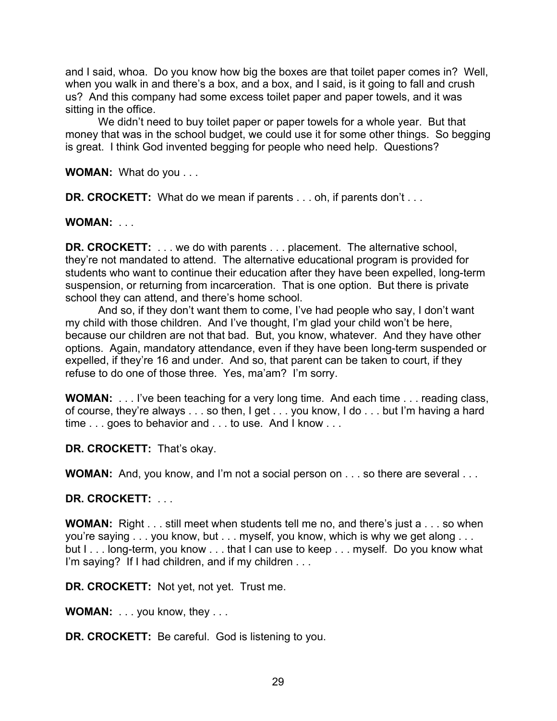and I said, whoa. Do you know how big the boxes are that toilet paper comes in? Well, when you walk in and there's a box, and a box, and I said, is it going to fall and crush us? And this company had some excess toilet paper and paper towels, and it was sitting in the office.

We didn't need to buy toilet paper or paper towels for a whole year. But that money that was in the school budget, we could use it for some other things. So begging is great. I think God invented begging for people who need help. Questions?

**WOMAN:** What do you . . .

**DR. CROCKETT:** What do we mean if parents . . . oh, if parents don't . . .

**WOMAN:** . . .

**DR. CROCKETT:** . . . we do with parents . . . placement. The alternative school, they're not mandated to attend. The alternative educational program is provided for students who want to continue their education after they have been expelled, long-term suspension, or returning from incarceration. That is one option. But there is private school they can attend, and there's home school.

And so, if they don't want them to come, I've had people who say, I don't want my child with those children. And I've thought, I'm glad your child won't be here, because our children are not that bad. But, you know, whatever. And they have other options. Again, mandatory attendance, even if they have been long-term suspended or expelled, if they're 16 and under. And so, that parent can be taken to court, if they refuse to do one of those three. Yes, ma'am? I'm sorry.

**WOMAN:** . . . I've been teaching for a very long time. And each time . . . reading class, of course, they're always . . . so then, I get . . . you know, I do . . . but I'm having a hard time . . . goes to behavior and . . . to use. And I know . . .

**DR. CROCKETT:** That's okay.

**WOMAN:** And, you know, and I'm not a social person on . . . so there are several . . .

**DR. CROCKETT:** . . .

**WOMAN:** Right . . . still meet when students tell me no, and there's just a . . . so when you're saying . . . you know, but . . . myself, you know, which is why we get along . . . but I . . . long-term, you know . . . that I can use to keep . . . myself. Do you know what I'm saying? If I had children, and if my children . . .

**DR. CROCKETT:** Not yet, not yet. Trust me.

**WOMAN:** . . . you know, they . . .

**DR. CROCKETT:** Be careful. God is listening to you.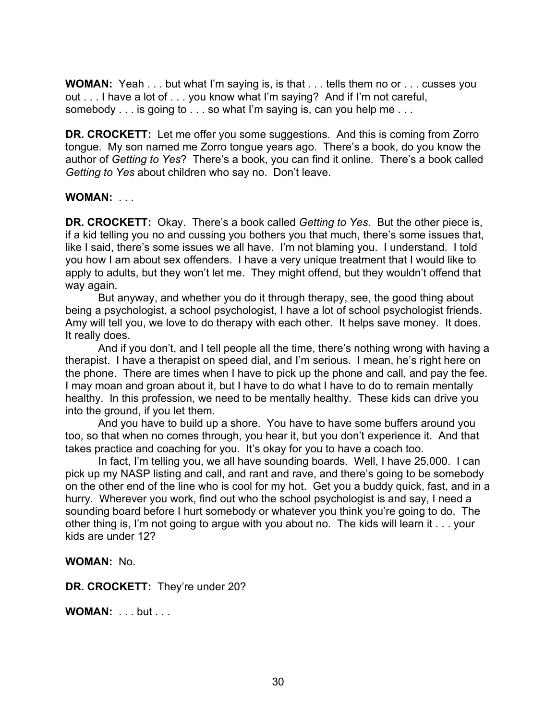**WOMAN:** Yeah . . . but what I'm saying is, is that . . . tells them no or . . . cusses you out . . . I have a lot of . . . you know what I'm saying? And if I'm not careful, somebody . . . is going to . . . so what I'm saying is, can you help me . . .

**DR. CROCKETT:** Let me offer you some suggestions. And this is coming from Zorro tongue. My son named me Zorro tongue years ago. There's a book, do you know the author of *Getting to Yes*? There's a book, you can find it online. There's a book called *Getting to Yes* about children who say no. Don't leave.

#### **WOMAN:** . . .

**DR. CROCKETT:** Okay. There's a book called *Getting to Yes*. But the other piece is, if a kid telling you no and cussing you bothers you that much, there's some issues that, like I said, there's some issues we all have. I'm not blaming you. I understand. I told you how I am about sex offenders. I have a very unique treatment that I would like to apply to adults, but they won't let me. They might offend, but they wouldn't offend that way again.

But anyway, and whether you do it through therapy, see, the good thing about being a psychologist, a school psychologist, I have a lot of school psychologist friends. Amy will tell you, we love to do therapy with each other. It helps save money. It does. It really does.

And if you don't, and I tell people all the time, there's nothing wrong with having a therapist. I have a therapist on speed dial, and I'm serious. I mean, he's right here on the phone. There are times when I have to pick up the phone and call, and pay the fee. I may moan and groan about it, but I have to do what I have to do to remain mentally healthy. In this profession, we need to be mentally healthy. These kids can drive you into the ground, if you let them.

And you have to build up a shore. You have to have some buffers around you too, so that when no comes through, you hear it, but you don't experience it. And that takes practice and coaching for you. It's okay for you to have a coach too.

In fact, I'm telling you, we all have sounding boards. Well, I have 25,000. I can pick up my NASP listing and call, and rant and rave, and there's going to be somebody on the other end of the line who is cool for my hot. Get you a buddy quick, fast, and in a hurry. Wherever you work, find out who the school psychologist is and say, I need a sounding board before I hurt somebody or whatever you think you're going to do. The other thing is, I'm not going to argue with you about no. The kids will learn it . . . your kids are under 12?

**WOMAN:** No.

**DR. CROCKETT:** They're under 20?

**WOMAN: ... but ...**